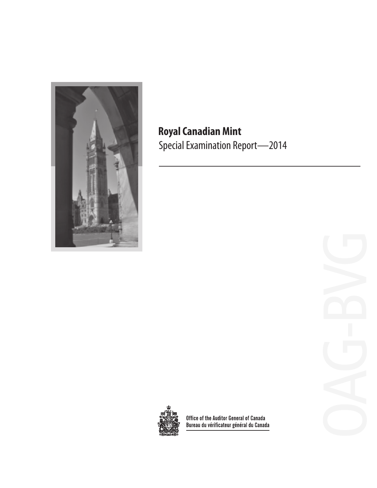

# **Royal Canadian Mint** Special Examination Report—2014



Office of the Auditor General of Canada<br>Bureau du vérificateur général du Canada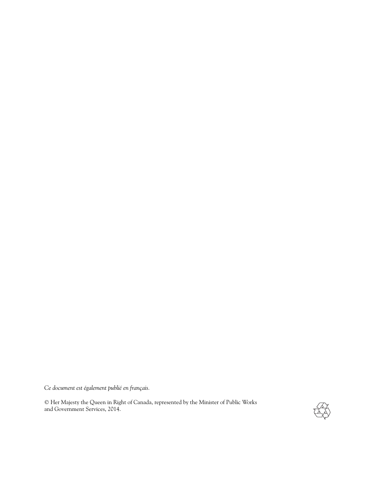*Ce document est également publié en français.*

© Her Majesty the Queen in Right of Canada, represented by the Minister of Public Works and Government Services, 2014.

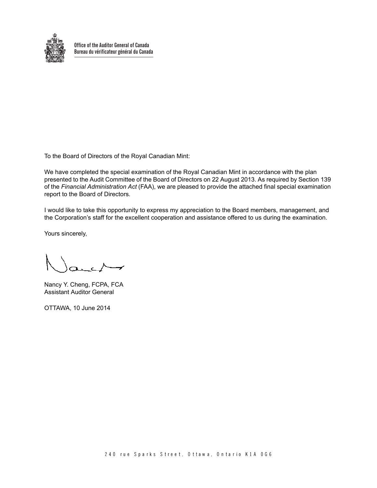

**Office of the Auditor General of Canada Bureau du vérificateur général du Canada**

To the Board of Directors of the Royal Canadian Mint:

We have completed the special examination of the Royal Canadian Mint in accordance with the plan presented to the Audit Committee of the Board of Directors on 22 August 2013. As required by Section 139 of the *Financial Administration Act* (FAA), we are pleased to provide the attached final special examination report to the Board of Directors.

I would like to take this opportunity to express my appreciation to the Board members, management, and the Corporation's staff for the excellent cooperation and assistance offered to us during the examination.

Yours sincerely,

Nancy Y. Cheng, FCPA, FCA Assistant Auditor General

OTTAWA, 10 June 2014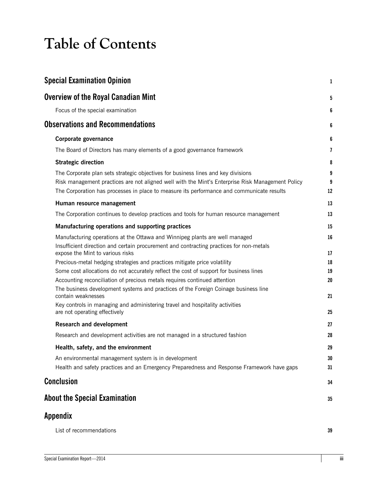# **Table of Contents**

| <b>Special Examination Opinion</b>                                                                                                                                                                                                                                                 | $\mathbf{1}$            |
|------------------------------------------------------------------------------------------------------------------------------------------------------------------------------------------------------------------------------------------------------------------------------------|-------------------------|
| <b>Overview of the Royal Canadian Mint</b>                                                                                                                                                                                                                                         | 5                       |
| Focus of the special examination                                                                                                                                                                                                                                                   | 6                       |
| <b>Observations and Recommendations</b>                                                                                                                                                                                                                                            | 6                       |
| Corporate governance                                                                                                                                                                                                                                                               | 6                       |
| The Board of Directors has many elements of a good governance framework                                                                                                                                                                                                            | $\overline{\mathbf{z}}$ |
| <b>Strategic direction</b>                                                                                                                                                                                                                                                         | 8                       |
| The Corporate plan sets strategic objectives for business lines and key divisions<br>Risk management practices are not aligned well with the Mint's Enterprise Risk Management Policy<br>The Corporation has processes in place to measure its performance and communicate results | 9<br>9<br>12            |
| Human resource management                                                                                                                                                                                                                                                          | 13                      |
| The Corporation continues to develop practices and tools for human resource management                                                                                                                                                                                             | 13                      |
| Manufacturing operations and supporting practices                                                                                                                                                                                                                                  | 15                      |
| Manufacturing operations at the Ottawa and Winnipeg plants are well managed<br>Insufficient direction and certain procurement and contracting practices for non-metals<br>expose the Mint to various risks                                                                         | 16<br>17                |
| Precious-metal hedging strategies and practices mitigate price volatility                                                                                                                                                                                                          | 18                      |
| Some cost allocations do not accurately reflect the cost of support for business lines                                                                                                                                                                                             | 19                      |
| Accounting reconciliation of precious metals requires continued attention                                                                                                                                                                                                          | 20                      |
| The business development systems and practices of the Foreign Coinage business line<br>contain weaknesses                                                                                                                                                                          | 21                      |
| Key controls in managing and administering travel and hospitality activities<br>are not operating effectively                                                                                                                                                                      | 25                      |
| <b>Research and development</b>                                                                                                                                                                                                                                                    | 27                      |
| Research and development activities are not managed in a structured fashion                                                                                                                                                                                                        | 28                      |
| Health, safety, and the environment                                                                                                                                                                                                                                                | 29                      |
| An environmental management system is in development<br>Health and safety practices and an Emergency Preparedness and Response Framework have gaps                                                                                                                                 | 30<br>31                |
| <b>Conclusion</b>                                                                                                                                                                                                                                                                  | 34                      |
| <b>About the Special Examination</b>                                                                                                                                                                                                                                               | 35                      |
| Appendix                                                                                                                                                                                                                                                                           |                         |
| List of recommendations                                                                                                                                                                                                                                                            | 39                      |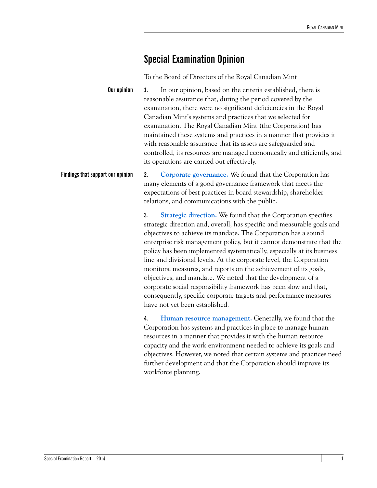### <span id="page-6-0"></span>**Special Examination Opinion**

To the Board of Directors of the Royal Canadian Mint

**Our opinion 1.** In our opinion, based on the criteria established, there is reasonable assurance that, during the period covered by the examination, there were no significant deficiencies in the Royal Canadian Mint's systems and practices that we selected for examination. The Royal Canadian Mint (the Corporation) has maintained these systems and practices in a manner that provides it with reasonable assurance that its assets are safeguarded and controlled, its resources are managed economically and efficiently, and its operations are carried out effectively.

**Findings that support our opinion 2. [Corporate governance.](#page-11-3)** We found that the Corporation has many elements of a good governance framework that meets the expectations of best practices in board stewardship, shareholder relations, and communications with the public.

> **3. [Strategic direction.](#page-13-1)** We found that the Corporation specifies strategic direction and, overall, has specific and measurable goals and objectives to achieve its mandate. The Corporation has a sound enterprise risk management policy, but it cannot demonstrate that the policy has been implemented systematically, especially at its business line and divisional levels. At the corporate level, the Corporation monitors, measures, and reports on the achievement of its goals, objectives, and mandate. We noted that the development of a corporate social responsibility framework has been slow and that, consequently, specific corporate targets and performance measures have not yet been established.

> **4. [Human resource management.](#page-18-2)** Generally, we found that the Corporation has systems and practices in place to manage human resources in a manner that provides it with the human resource capacity and the work environment needed to achieve its goals and objectives. However, we noted that certain systems and practices need further development and that the Corporation should improve its workforce planning.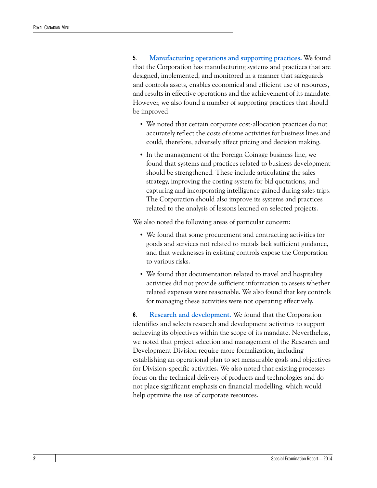**5. [Manufacturing operations and supporting practices.](#page-20-1)** We found that the Corporation has manufacturing systems and practices that are designed, implemented, and monitored in a manner that safeguards and controls assets, enables economical and efficient use of resources, and results in effective operations and the achievement of its mandate. However, we also found a number of supporting practices that should be improved:

- **•** We noted that certain corporate cost-allocation practices do not accurately reflect the costs of some activities for business lines and could, therefore, adversely affect pricing and decision making.
- **•** In the management of the Foreign Coinage business line, we found that systems and practices related to business development should be strengthened. These include articulating the sales strategy, improving the costing system for bid quotations, and capturing and incorporating intelligence gained during sales trips. The Corporation should also improve its systems and practices related to the analysis of lessons learned on selected projects.

We also noted the following areas of particular concern:

- **•** We found that some procurement and contracting activities for goods and services not related to metals lack sufficient guidance, and that weaknesses in existing controls expose the Corporation to various risks.
- **•** We found that documentation related to travel and hospitality activities did not provide sufficient information to assess whether related expenses were reasonable. We also found that key controls for managing these activities were not operating effectively.

**6. [Research and development.](#page-32-1)** We found that the Corporation identifies and selects research and development activities to support achieving its objectives within the scope of its mandate. Nevertheless, we noted that project selection and management of the Research and Development Division require more formalization, including establishing an operational plan to set measurable goals and objectives for Division-specific activities. We also noted that existing processes focus on the technical delivery of products and technologies and do not place significant emphasis on financial modelling, which would help optimize the use of corporate resources.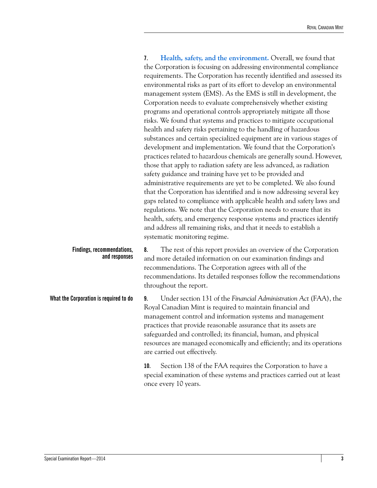|                                             | Health, safety, and the environment. Overall, we found that<br>7.<br>the Corporation is focusing on addressing environmental compliance<br>requirements. The Corporation has recently identified and assessed its<br>environmental risks as part of its effort to develop an environmental<br>management system (EMS). As the EMS is still in development, the<br>Corporation needs to evaluate comprehensively whether existing<br>programs and operational controls appropriately mitigate all those<br>risks. We found that systems and practices to mitigate occupational<br>health and safety risks pertaining to the handling of hazardous<br>substances and certain specialized equipment are in various stages of<br>development and implementation. We found that the Corporation's<br>practices related to hazardous chemicals are generally sound. However,<br>those that apply to radiation safety are less advanced, as radiation<br>safety guidance and training have yet to be provided and<br>administrative requirements are yet to be completed. We also found<br>that the Corporation has identified and is now addressing several key<br>gaps related to compliance with applicable health and safety laws and<br>regulations. We note that the Corporation needs to ensure that its<br>health, safety, and emergency response systems and practices identify<br>and address all remaining risks, and that it needs to establish a<br>systematic monitoring regime. |
|---------------------------------------------|-----------------------------------------------------------------------------------------------------------------------------------------------------------------------------------------------------------------------------------------------------------------------------------------------------------------------------------------------------------------------------------------------------------------------------------------------------------------------------------------------------------------------------------------------------------------------------------------------------------------------------------------------------------------------------------------------------------------------------------------------------------------------------------------------------------------------------------------------------------------------------------------------------------------------------------------------------------------------------------------------------------------------------------------------------------------------------------------------------------------------------------------------------------------------------------------------------------------------------------------------------------------------------------------------------------------------------------------------------------------------------------------------------------------------------------------------------------------------------------------|
| Findings, recommendations,<br>and responses | The rest of this report provides an overview of the Corporation<br>8.<br>and more detailed information on our examination findings and<br>recommendations. The Corporation agrees with all of the<br>recommendations. Its detailed responses follow the recommendations<br>throughout the report.                                                                                                                                                                                                                                                                                                                                                                                                                                                                                                                                                                                                                                                                                                                                                                                                                                                                                                                                                                                                                                                                                                                                                                                       |
| What the Corporation is required to do      | Under section 131 of the Financial Administration Act (FAA), the<br>9.<br>Royal Canadian Mint is required to maintain financial and<br>management control and information systems and management<br>practices that provide reasonable assurance that its assets are<br>safeguarded and controlled; its financial, human, and physical<br>resources are managed economically and efficiently; and its operations<br>are carried out effectively.                                                                                                                                                                                                                                                                                                                                                                                                                                                                                                                                                                                                                                                                                                                                                                                                                                                                                                                                                                                                                                         |
|                                             | Section 138 of the FAA requires the Corporation to have a<br>10.<br>special examination of these systems and practices carried out at least<br>once every 10 years.                                                                                                                                                                                                                                                                                                                                                                                                                                                                                                                                                                                                                                                                                                                                                                                                                                                                                                                                                                                                                                                                                                                                                                                                                                                                                                                     |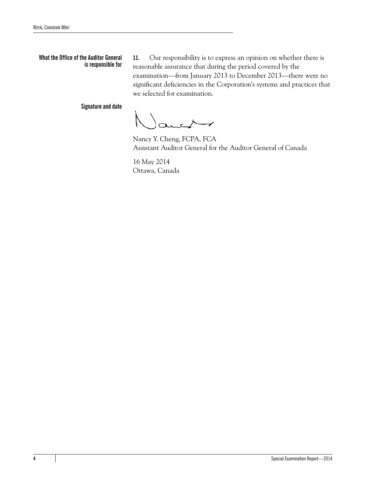#### **What the Office of the Auditor General is responsible for**

**11.** Our responsibility is to express an opinion on whether there is reasonable assurance that during the period covered by the examination—from January 2013 to December 2013—there were no significant deficiencies in the Corporation's systems and practices that we selected for examination.

**Signature and date**

Nancy Y. Cheng, FCPA, FCA Assistant Auditor General for the Auditor General of Canada

16 May 2014 Ottawa, Canada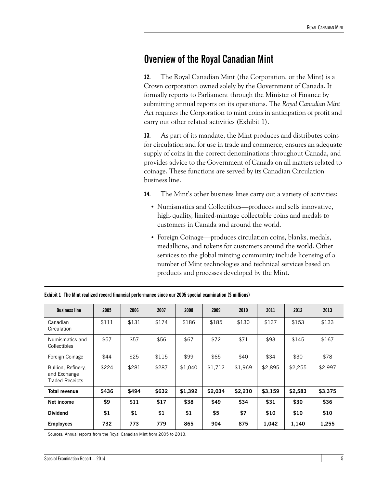### <span id="page-10-0"></span>**Overview of the Royal Canadian Mint**

**12.** The Royal Canadian Mint (the Corporation, or the Mint) is a Crown corporation owned solely by the Government of Canada. It formally reports to Parliament through the Minister of Finance by submitting annual reports on its operations. The *Royal Canadian Mint Act* requires the Corporation to mint coins in anticipation of profit and carry out other related activities (Exhibit 1).

**13.** As part of its mandate, the Mint produces and distributes coins for circulation and for use in trade and commerce, ensures an adequate supply of coins in the correct denominations throughout Canada, and provides advice to the Government of Canada on all matters related to coinage. These functions are served by its Canadian Circulation business line.

**14.** The Mint's other business lines carry out a variety of activities:

- **•** Numismatics and Collectibles—produces and sells innovative, high-quality, limited-mintage collectable coins and medals to customers in Canada and around the world.
- **•** Foreign Coinage—produces circulation coins, blanks, medals, medallions, and tokens for customers around the world. Other services to the global minting community include licensing of a number of Mint technologies and technical services based on products and processes developed by the Mint.

| <b>Business line</b>                                         | 2005  | 2006  | 2007  | 2008    | 2009    | 2010    | 2011    | 2012    | 2013    |
|--------------------------------------------------------------|-------|-------|-------|---------|---------|---------|---------|---------|---------|
| Canadian<br>Circulation                                      | \$111 | \$131 | \$174 | \$186   | \$185   | \$130   | \$137   | \$153   | \$133   |
| Numismatics and<br>Collectibles                              | \$57  | \$57  | \$56  | \$67    | \$72    | \$71    | \$93    | \$145   | \$167   |
| Foreign Coinage                                              | \$44  | \$25  | \$115 | \$99    | \$65    | \$40    | \$34    | \$30    | \$78    |
| Bullion, Refinery,<br>and Exchange<br><b>Traded Receipts</b> | \$224 | \$281 | \$287 | \$1,040 | \$1,712 | \$1,969 | \$2,895 | \$2,255 | \$2,997 |
| <b>Total revenue</b>                                         | \$436 | \$494 | \$632 | \$1,392 | \$2,034 | \$2,210 | \$3,159 | \$2,583 | \$3,375 |
| Net income                                                   | \$9   | \$11  | \$17  | \$38    | \$49    | \$34    | \$31    | \$30    | \$36    |
| <b>Dividend</b>                                              | \$1   | \$1   | \$1   | \$1     | \$5     | \$7     | \$10    | \$10    | \$10    |
| <b>Employees</b>                                             | 732   | 773   | 779   | 865     | 904     | 875     | 1,042   | 1,140   | 1,255   |

**Exhibit 1 The Mint realized record financial performance since our 2005 special examination (\$ millions)**

Sources: Annual reports from the Royal Canadian Mint from 2005 to 2013.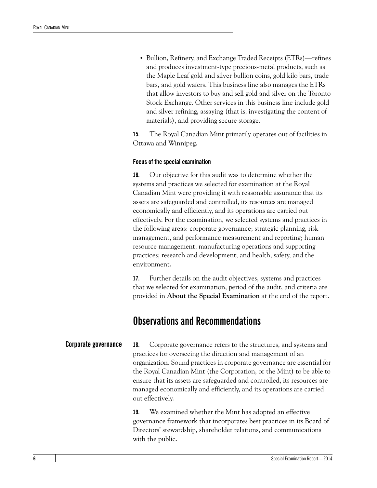**•** Bullion, Refinery, and Exchange Traded Receipts (ETRs)—refines and produces investment-type precious-metal products, such as the Maple Leaf gold and silver bullion coins, gold kilo bars, trade bars, and gold wafers. This business line also manages the ETRs that allow investors to buy and sell gold and silver on the Toronto Stock Exchange. Other services in this business line include gold and silver refining, assaying (that is, investigating the content of materials), and providing secure storage.

**15.** The Royal Canadian Mint primarily operates out of facilities in Ottawa and Winnipeg.

#### <span id="page-11-0"></span>**Focus of the special examination**

**16.** Our objective for this audit was to determine whether the systems and practices we selected for examination at the Royal Canadian Mint were providing it with reasonable assurance that its assets are safeguarded and controlled, its resources are managed economically and efficiently, and its operations are carried out effectively. For the examination, we selected systems and practices in the following areas: corporate governance; strategic planning, risk management, and performance measurement and reporting; human resource management; manufacturing operations and supporting practices; research and development; and health, safety, and the environment.

**17.** Further details on the audit objectives, systems and practices that we selected for examination, period of the audit, and criteria are provided in **About the Special Examination** at the end of the report.

### <span id="page-11-1"></span>**Observations and Recommendations**

<span id="page-11-3"></span><span id="page-11-2"></span>**Corporate governance 18.** Corporate governance refers to the structures, and systems and practices for overseeing the direction and management of an organization. Sound practices in corporate governance are essential for the Royal Canadian Mint (the Corporation, or the Mint) to be able to ensure that its assets are safeguarded and controlled, its resources are managed economically and efficiently, and its operations are carried out effectively.

> **19.** We examined whether the Mint has adopted an effective governance framework that incorporates best practices in its Board of Directors' stewardship, shareholder relations, and communications with the public.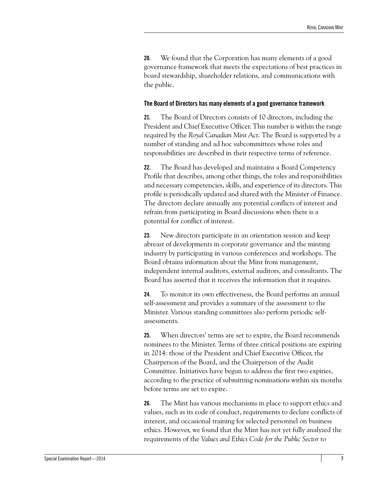**20.** We found that the Corporation has many elements of a good governance framework that meets the expectations of best practices in board stewardship, shareholder relations, and communications with the public.

#### <span id="page-12-0"></span>**The Board of Directors has many elements of a good governance framework**

**21.** The Board of Directors consists of 10 directors, including the President and Chief Executive Officer. This number is within the range required by the *Royal Canadian Mint Act*. The Board is supported by a number of standing and ad hoc subcommittees whose roles and responsibilities are described in their respective terms of reference.

**22.** The Board has developed and maintains a Board Competency Profile that describes, among other things, the roles and responsibilities and necessary competencies, skills, and experience of its directors. This profile is periodically updated and shared with the Minister of Finance. The directors declare annually any potential conflicts of interest and refrain from participating in Board discussions when there is a potential for conflict of interest.

**23.** New directors participate in an orientation session and keep abreast of developments in corporate governance and the minting industry by participating in various conferences and workshops. The Board obtains information about the Mint from management, independent internal auditors, external auditors, and consultants. The Board has asserted that it receives the information that it requires.

**24.** To monitor its own effectiveness, the Board performs an annual self-assessment and provides a summary of the assessment to the Minister. Various standing committees also perform periodic selfassessments.

**25.** When directors' terms are set to expire, the Board recommends nominees to the Minister. Terms of three critical positions are expiring in 2014: those of the President and Chief Executive Officer, the Chairperson of the Board, and the Chairperson of the Audit Committee. Initiatives have begun to address the first two expiries, according to the practice of submitting nominations within six months before terms are set to expire.

**26.** The Mint has various mechanisms in place to support ethics and values, such as its code of conduct, requirements to declare conflicts of interest, and occasional training for selected personnel on business ethics. However, we found that the Mint has not yet fully analyzed the requirements of the *Values and Ethics Code for the Public Sector* to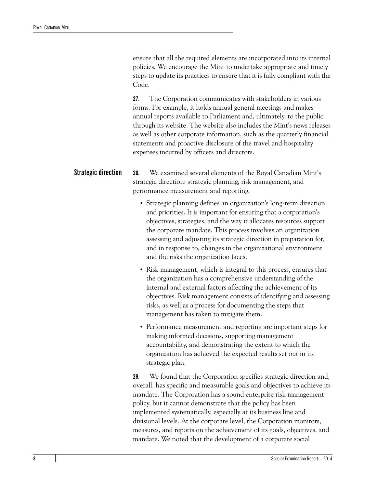ensure that all the required elements are incorporated into its internal policies. We encourage the Mint to undertake appropriate and timely steps to update its practices to ensure that it is fully compliant with the Code.

**27.** The Corporation communicates with stakeholders in various forms. For example, it holds annual general meetings and makes annual reports available to Parliament and, ultimately, to the public through its website. The website also includes the Mint's news releases as well as other corporate information, such as the quarterly financial statements and proactive disclosure of the travel and hospitality expenses incurred by officers and directors.

<span id="page-13-1"></span><span id="page-13-0"></span>**Strategic direction 28.** We examined several elements of the Royal Canadian Mint's strategic direction: strategic planning, risk management, and performance measurement and reporting.

- **•** Strategic planning defines an organization's long-term direction and priorities. It is important for ensuring that a corporation's objectives, strategies, and the way it allocates resources support the corporate mandate. This process involves an organization assessing and adjusting its strategic direction in preparation for, and in response to, changes in the organizational environment and the risks the organization faces.
- **•** Risk management, which is integral to this process, ensures that the organization has a comprehensive understanding of the internal and external factors affecting the achievement of its objectives. Risk management consists of identifying and assessing risks, as well as a process for documenting the steps that management has taken to mitigate them.
- **•** Performance measurement and reporting are important steps for making informed decisions, supporting management accountability, and demonstrating the extent to which the organization has achieved the expected results set out in its strategic plan.

**29.** We found that the Corporation specifies strategic direction and, overall, has specific and measurable goals and objectives to achieve its mandate. The Corporation has a sound enterprise risk management policy, but it cannot demonstrate that the policy has been implemented systematically, especially at its business line and divisional levels. At the corporate level, the Corporation monitors, measures, and reports on the achievement of its goals, objectives, and mandate. We noted that the development of a corporate social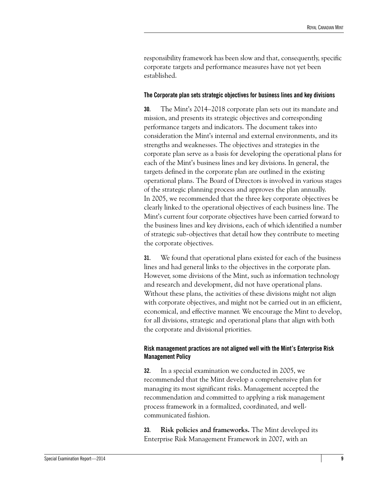responsibility framework has been slow and that, consequently, specific corporate targets and performance measures have not yet been established.

#### <span id="page-14-0"></span>**The Corporate plan sets strategic objectives for business lines and key divisions**

**30.** The Mint's 2014–2018 corporate plan sets out its mandate and mission, and presents its strategic objectives and corresponding performance targets and indicators. The document takes into consideration the Mint's internal and external environments, and its strengths and weaknesses. The objectives and strategies in the corporate plan serve as a basis for developing the operational plans for each of the Mint's business lines and key divisions. In general, the targets defined in the corporate plan are outlined in the existing operational plans. The Board of Directors is involved in various stages of the strategic planning process and approves the plan annually. In 2005, we recommended that the three key corporate objectives be clearly linked to the operational objectives of each business line. The Mint's current four corporate objectives have been carried forward to the business lines and key divisions, each of which identified a number of strategic sub-objectives that detail how they contribute to meeting the corporate objectives.

**31.** We found that operational plans existed for each of the business lines and had general links to the objectives in the corporate plan. However, some divisions of the Mint, such as information technology and research and development, did not have operational plans. Without these plans, the activities of these divisions might not align with corporate objectives, and might not be carried out in an efficient, economical, and effective manner. We encourage the Mint to develop, for all divisions, strategic and operational plans that align with both the corporate and divisional priorities.

#### <span id="page-14-1"></span>**Risk management practices are not aligned well with the Mint's Enterprise Risk Management Policy**

**32.** In a special examination we conducted in 2005, we recommended that the Mint develop a comprehensive plan for managing its most significant risks. Management accepted the recommendation and committed to applying a risk management process framework in a formalized, coordinated, and wellcommunicated fashion.

**33. Risk policies and frameworks.** The Mint developed its Enterprise Risk Management Framework in 2007, with an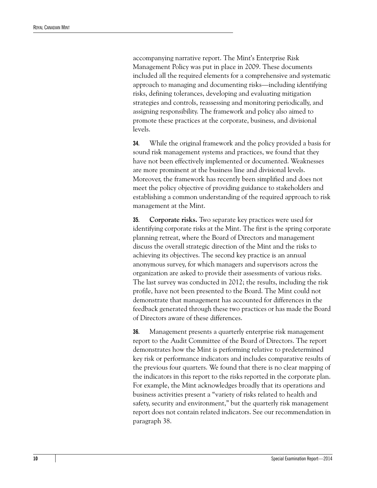accompanying narrative report. The Mint's Enterprise Risk Management Policy was put in place in 2009. These documents included all the required elements for a comprehensive and systematic approach to managing and documenting risks—including identifying risks, defining tolerances, developing and evaluating mitigation strategies and controls, reassessing and monitoring periodically, and assigning responsibility. The framework and policy also aimed to promote these practices at the corporate, business, and divisional levels.

**34.** While the original framework and the policy provided a basis for sound risk management systems and practices, we found that they have not been effectively implemented or documented. Weaknesses are more prominent at the business line and divisional levels. Moreover, the framework has recently been simplified and does not meet the policy objective of providing guidance to stakeholders and establishing a common understanding of the required approach to risk management at the Mint.

**35. Corporate risks.** Two separate key practices were used for identifying corporate risks at the Mint. The first is the spring corporate planning retreat, where the Board of Directors and management discuss the overall strategic direction of the Mint and the risks to achieving its objectives. The second key practice is an annual anonymous survey, for which managers and supervisors across the organization are asked to provide their assessments of various risks. The last survey was conducted in 2012; the results, including the risk profile, have not been presented to the Board. The Mint could not demonstrate that management has accounted for differences in the feedback generated through these two practices or has made the Board of Directors aware of these differences.

**36.** Management presents a quarterly enterprise risk management report to the Audit Committee of the Board of Directors. The report demonstrates how the Mint is performing relative to predetermined key risk or performance indicators and includes comparative results of the previous four quarters. We found that there is no clear mapping of the indicators in this report to the risks reported in the corporate plan. For example, the Mint acknowledges broadly that its operations and business activities present a "variety of risks related to health and safety, security and environment," but the quarterly risk management report does not contain related indicators. See our recommendation in paragraph 38.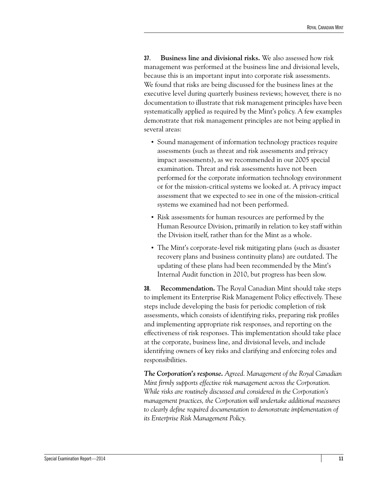**37. Business line and divisional risks.** We also assessed how risk management was performed at the business line and divisional levels, because this is an important input into corporate risk assessments. We found that risks are being discussed for the business lines at the executive level during quarterly business reviews; however, there is no documentation to illustrate that risk management principles have been systematically applied as required by the Mint's policy. A few examples demonstrate that risk management principles are not being applied in several areas:

- **•** Sound management of information technology practices require assessments (such as threat and risk assessments and privacy impact assessments), as we recommended in our 2005 special examination. Threat and risk assessments have not been performed for the corporate information technology environment or for the mission-critical systems we looked at. A privacy impact assessment that we expected to see in one of the mission-critical systems we examined had not been performed.
- **•** Risk assessments for human resources are performed by the Human Resource Division, primarily in relation to key staff within the Division itself, rather than for the Mint as a whole.
- **•** The Mint's corporate-level risk mitigating plans (such as disaster recovery plans and business continuity plans) are outdated. The updating of these plans had been recommended by the Mint's Internal Audit function in 2010, but progress has been slow.

**38. Recommendation.** The Royal Canadian Mint should take steps to implement its Enterprise Risk Management Policy effectively. These steps include developing the basis for periodic completion of risk assessments, which consists of identifying risks, preparing risk profiles and implementing appropriate risk responses, and reporting on the effectiveness of risk responses. This implementation should take place at the corporate, business line, and divisional levels, and include identifying owners of key risks and clarifying and enforcing roles and responsibilities.

*The Corporation's response. Agreed. Management of the Royal Canadian Mint firmly supports effective risk management across the Corporation. While risks are routinely discussed and considered in the Corporation's management practices, the Corporation will undertake additional measures to clearly define required documentation to demonstrate implementation of its Enterprise Risk Management Policy.*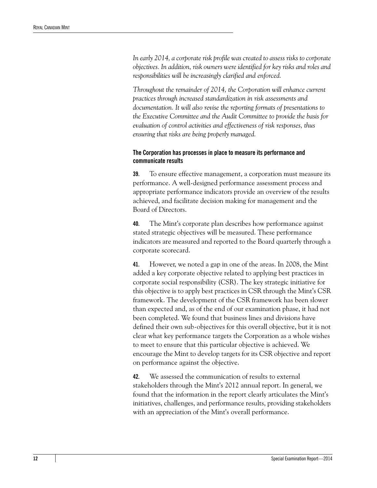*In early 2014, a corporate risk profile was created to assess risks to corporate objectives. In addition, risk owners were identified for key risks and roles and responsibilities will be increasingly clarified and enforced.*

*Throughout the remainder of 2014, the Corporation will enhance current practices through increased standardization in risk assessments and documentation. It will also revise the reporting formats of presentations to the Executive Committee and the Audit Committee to provide the basis for evaluation of control activities and effectiveness of risk responses, thus ensuring that risks are being properly managed.*

#### <span id="page-17-0"></span>**The Corporation has processes in place to measure its performance and communicate results**

**39.** To ensure effective management, a corporation must measure its performance. A well-designed performance assessment process and appropriate performance indicators provide an overview of the results achieved, and facilitate decision making for management and the Board of Directors.

**40.** The Mint's corporate plan describes how performance against stated strategic objectives will be measured. These performance indicators are measured and reported to the Board quarterly through a corporate scorecard.

**41.** However, we noted a gap in one of the areas. In 2008, the Mint added a key corporate objective related to applying best practices in corporate social responsibility (CSR). The key strategic initiative for this objective is to apply best practices in CSR through the Mint's CSR framework. The development of the CSR framework has been slower than expected and, as of the end of our examination phase, it had not been completed. We found that business lines and divisions have defined their own sub-objectives for this overall objective, but it is not clear what key performance targets the Corporation as a whole wishes to meet to ensure that this particular objective is achieved. We encourage the Mint to develop targets for its CSR objective and report on performance against the objective.

**42.** We assessed the communication of results to external stakeholders through the Mint's 2012 annual report. In general, we found that the information in the report clearly articulates the Mint's initiatives, challenges, and performance results, providing stakeholders with an appreciation of the Mint's overall performance.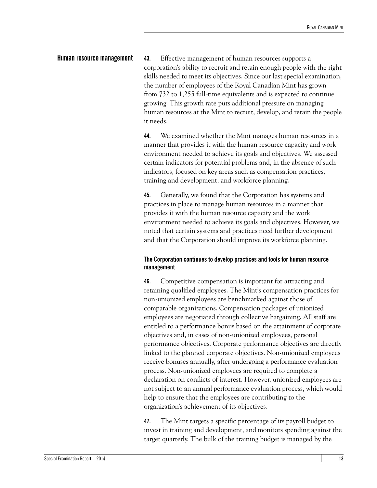<span id="page-18-2"></span><span id="page-18-0"></span>**Human resource management 43.** Effective management of human resources supports a corporation's ability to recruit and retain enough people with the right skills needed to meet its objectives. Since our last special examination, the number of employees of the Royal Canadian Mint has grown from 732 to 1,255 full-time equivalents and is expected to continue growing. This growth rate puts additional pressure on managing human resources at the Mint to recruit, develop, and retain the people it needs.

> **44.** We examined whether the Mint manages human resources in a manner that provides it with the human resource capacity and work environment needed to achieve its goals and objectives. We assessed certain indicators for potential problems and, in the absence of such indicators, focused on key areas such as compensation practices, training and development, and workforce planning.

> **45.** Generally, we found that the Corporation has systems and practices in place to manage human resources in a manner that provides it with the human resource capacity and the work environment needed to achieve its goals and objectives. However, we noted that certain systems and practices need further development and that the Corporation should improve its workforce planning.

#### <span id="page-18-1"></span>**The Corporation continues to develop practices and tools for human resource management**

**46.** Competitive compensation is important for attracting and retaining qualified employees. The Mint's compensation practices for non-unionized employees are benchmarked against those of comparable organizations. Compensation packages of unionized employees are negotiated through collective bargaining. All staff are entitled to a performance bonus based on the attainment of corporate objectives and, in cases of non-unionized employees, personal performance objectives. Corporate performance objectives are directly linked to the planned corporate objectives. Non-unionized employees receive bonuses annually, after undergoing a performance evaluation process. Non-unionized employees are required to complete a declaration on conflicts of interest. However, unionized employees are not subject to an annual performance evaluation process, which would help to ensure that the employees are contributing to the organization's achievement of its objectives.

**47.** The Mint targets a specific percentage of its payroll budget to invest in training and development, and monitors spending against the target quarterly. The bulk of the training budget is managed by the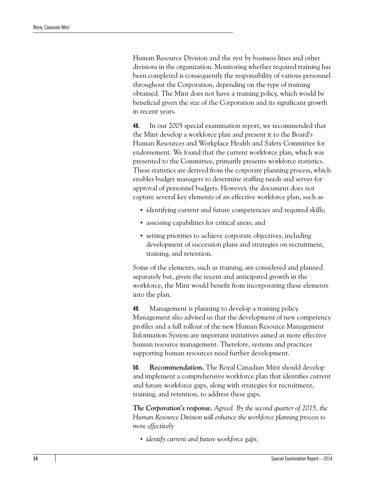Human Resource Division and the rest by business lines and other divisions in the organization. Monitoring whether required training has been completed is consequently the responsibility of various personnel throughout the Corporation, depending on the type of training obtained. The Mint does not have a training policy, which would be beneficial given the size of the Corporation and its significant growth in recent years.

**48.** In our 2005 special examination report, we recommended that the Mint develop a workforce plan and present it to the Board's Human Resources and Workplace Health and Safety Committee for endorsement. We found that the current workforce plan, which was presented to the Committee, primarily presents workforce statistics. These statistics are derived from the corporate planning process, which enables budget managers to determine staffing needs and serves for approval of personnel budgets. However, the document does not capture several key elements of an effective workforce plan, such as

- identifying current and future competencies and required skills;
- **•** assessing capabilities for critical areas; and
- setting priorities to achieve corporate objectives, including development of succession plans and strategies on recruitment, training, and retention.

Some of the elements, such as training, are considered and planned separately but, given the recent and anticipated growth in the workforce, the Mint would benefit from incorporating these elements into the plan.

**49.** Management is planning to develop a training policy. Management also advised us that the development of new competency profiles and a full rollout of the new Human Resource Management Information System are important initiatives aimed at more effective human resource management. Therefore, systems and practices supporting human resources need further development.

**50. Recommendation.** The Royal Canadian Mint should develop and implement a comprehensive workforce plan that identifies current and future workforce gaps, along with strategies for recruitment, training, and retention, to address these gaps.

*The Corporation's response. Agreed. By the second quarter of 2015, the Human Resource Division will enhance the workforce planning process to more effectively*

**•** *identify current and future workforce gaps;*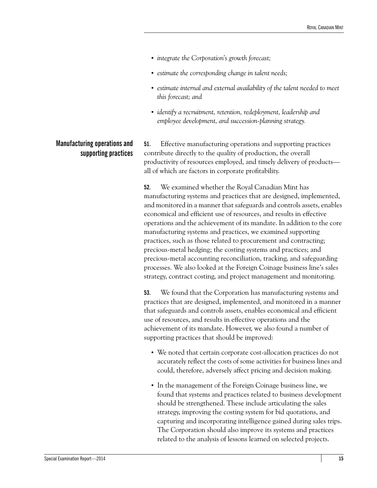- **•** *integrate the Corporation's growth forecast;*
- **•** *estimate the corresponding change in talent needs;*
- **•** *estimate internal and external availability of the talent needed to meet this forecast; and*
- **•** *identify a recruitment, retention, redeployment, leadership and employee development, and succession-planning strategy.*

### <span id="page-20-1"></span><span id="page-20-0"></span>**Manufacturing operations and supporting practices**

**51.** Effective manufacturing operations and supporting practices contribute directly to the quality of production, the overall productivity of resources employed, and timely delivery of products all of which are factors in corporate profitability.

**52.** We examined whether the Royal Canadian Mint has manufacturing systems and practices that are designed, implemented, and monitored in a manner that safeguards and controls assets, enables economical and efficient use of resources, and results in effective operations and the achievement of its mandate. In addition to the core manufacturing systems and practices, we examined supporting practices, such as those related to procurement and contracting; precious-metal hedging; the costing systems and practices; and precious-metal accounting reconciliation, tracking, and safeguarding processes. We also looked at the Foreign Coinage business line's sales strategy, contract costing, and project management and monitoring.

**53.** We found that the Corporation has manufacturing systems and practices that are designed, implemented, and monitored in a manner that safeguards and controls assets, enables economical and efficient use of resources, and results in effective operations and the achievement of its mandate. However, we also found a number of supporting practices that should be improved:

- **•** We noted that certain corporate cost-allocation practices do not accurately reflect the costs of some activities for business lines and could, therefore, adversely affect pricing and decision making.
- **•** In the management of the Foreign Coinage business line, we found that systems and practices related to business development should be strengthened. These include articulating the sales strategy, improving the costing system for bid quotations, and capturing and incorporating intelligence gained during sales trips. The Corporation should also improve its systems and practices related to the analysis of lessons learned on selected projects.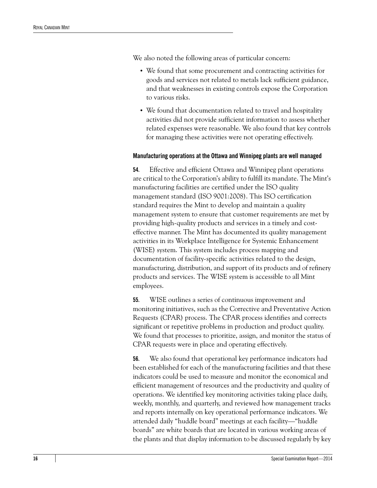We also noted the following areas of particular concern:

- **•** We found that some procurement and contracting activities for goods and services not related to metals lack sufficient guidance, and that weaknesses in existing controls expose the Corporation to various risks.
- **•** We found that documentation related to travel and hospitality activities did not provide sufficient information to assess whether related expenses were reasonable. We also found that key controls for managing these activities were not operating effectively.

#### <span id="page-21-0"></span>**Manufacturing operations at the Ottawa and Winnipeg plants are well managed**

**54.** Effective and efficient Ottawa and Winnipeg plant operations are critical to the Corporation's ability to fulfill its mandate. The Mint's manufacturing facilities are certified under the ISO quality management standard (ISO 9001:2008). This ISO certification standard requires the Mint to develop and maintain a quality management system to ensure that customer requirements are met by providing high-quality products and services in a timely and costeffective manner. The Mint has documented its quality management activities in its Workplace Intelligence for Systemic Enhancement (WISE) system. This system includes process mapping and documentation of facility-specific activities related to the design, manufacturing, distribution, and support of its products and of refinery products and services. The WISE system is accessible to all Mint employees.

**55.** WISE outlines a series of continuous improvement and monitoring initiatives, such as the Corrective and Preventative Action Requests (CPAR) process. The CPAR process identifies and corrects significant or repetitive problems in production and product quality. We found that processes to prioritize, assign, and monitor the status of CPAR requests were in place and operating effectively.

**56.** We also found that operational key performance indicators had been established for each of the manufacturing facilities and that these indicators could be used to measure and monitor the economical and efficient management of resources and the productivity and quality of operations. We identified key monitoring activities taking place daily, weekly, monthly, and quarterly, and reviewed how management tracks and reports internally on key operational performance indicators. We attended daily "huddle board" meetings at each facility—"huddle boards" are white boards that are located in various working areas of the plants and that display information to be discussed regularly by key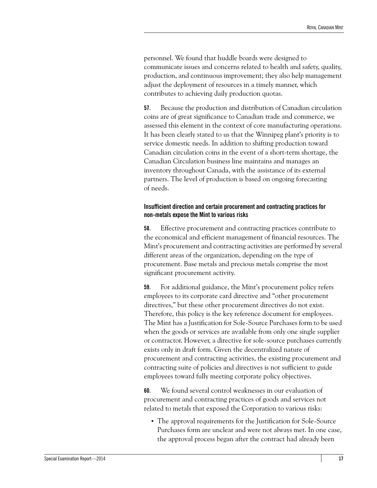personnel. We found that huddle boards were designed to communicate issues and concerns related to health and safety, quality, production, and continuous improvement; they also help management adjust the deployment of resources in a timely manner, which contributes to achieving daily production quotas.

**57.** Because the production and distribution of Canadian circulation coins are of great significance to Canadian trade and commerce, we assessed this element in the context of core manufacturing operations. It has been clearly stated to us that the Winnipeg plant's priority is to service domestic needs. In addition to shifting production toward Canadian circulation coins in the event of a short-term shortage, the Canadian Circulation business line maintains and manages an inventory throughout Canada, with the assistance of its external partners. The level of production is based on ongoing forecasting of needs.

#### <span id="page-22-0"></span>**Insufficient direction and certain procurement and contracting practices for non-metals expose the Mint to various risks**

**58.** Effective procurement and contracting practices contribute to the economical and efficient management of financial resources. The Mint's procurement and contracting activities are performed by several different areas of the organization, depending on the type of procurement. Base metals and precious metals comprise the most significant procurement activity.

**59.** For additional guidance, the Mint's procurement policy refers employees to its corporate card directive and "other procurement directives," but these other procurement directives do not exist. Therefore, this policy is the key reference document for employees. The Mint has a Justification for Sole-Source Purchases form to be used when the goods or services are available from only one single supplier or contractor. However, a directive for sole-source purchases currently exists only in draft form. Given the decentralized nature of procurement and contracting activities, the existing procurement and contracting suite of policies and directives is not sufficient to guide employees toward fully meeting corporate policy objectives.

**60.** We found several control weaknesses in our evaluation of procurement and contracting practices of goods and services not related to metals that exposed the Corporation to various risks:

**•** The approval requirements for the Justification for Sole-Source Purchases form are unclear and were not always met. In one case, the approval process began after the contract had already been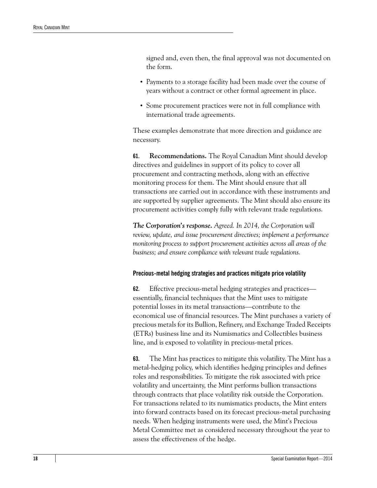signed and, even then, the final approval was not documented on the form.

- **•** Payments to a storage facility had been made over the course of years without a contract or other formal agreement in place.
- **•** Some procurement practices were not in full compliance with international trade agreements.

These examples demonstrate that more direction and guidance are necessary.

**61. Recommendations.** The Royal Canadian Mint should develop directives and guidelines in support of its policy to cover all procurement and contracting methods, along with an effective monitoring process for them. The Mint should ensure that all transactions are carried out in accordance with these instruments and are supported by supplier agreements. The Mint should also ensure its procurement activities comply fully with relevant trade regulations.

*The Corporation's response. Agreed. In 2014, the Corporation will review, update, and issue procurement directives; implement a performance monitoring process to support procurement activities across all areas of the business; and ensure compliance with relevant trade regulations.*

#### <span id="page-23-0"></span>**Precious-metal hedging strategies and practices mitigate price volatility**

**62.** Effective precious-metal hedging strategies and practices essentially, financial techniques that the Mint uses to mitigate potential losses in its metal transactions—contribute to the economical use of financial resources. The Mint purchases a variety of precious metals for its Bullion, Refinery, and Exchange Traded Receipts (ETRs) business line and its Numismatics and Collectibles business line, and is exposed to volatility in precious-metal prices.

**63.** The Mint has practices to mitigate this volatility. The Mint has a metal-hedging policy, which identifies hedging principles and defines roles and responsibilities. To mitigate the risk associated with price volatility and uncertainty, the Mint performs bullion transactions through contracts that place volatility risk outside the Corporation. For transactions related to its numismatics products, the Mint enters into forward contracts based on its forecast precious-metal purchasing needs. When hedging instruments were used, the Mint's Precious Metal Committee met as considered necessary throughout the year to assess the effectiveness of the hedge.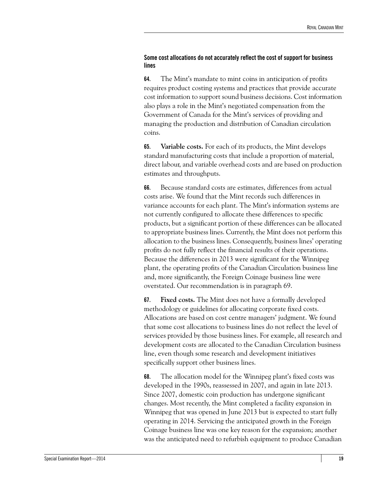#### <span id="page-24-0"></span>**Some cost allocations do not accurately reflect the cost of support for business lines**

**64.** The Mint's mandate to mint coins in anticipation of profits requires product costing systems and practices that provide accurate cost information to support sound business decisions. Cost information also plays a role in the Mint's negotiated compensation from the Government of Canada for the Mint's services of providing and managing the production and distribution of Canadian circulation coins.

**65. Variable costs.** For each of its products, the Mint develops standard manufacturing costs that include a proportion of material, direct labour, and variable overhead costs and are based on production estimates and throughputs.

**66.** Because standard costs are estimates, differences from actual costs arise. We found that the Mint records such differences in variance accounts for each plant. The Mint's information systems are not currently configured to allocate these differences to specific products, but a significant portion of these differences can be allocated to appropriate business lines. Currently, the Mint does not perform this allocation to the business lines. Consequently, business lines' operating profits do not fully reflect the financial results of their operations. Because the differences in 2013 were significant for the Winnipeg plant, the operating profits of the Canadian Circulation business line and, more significantly, the Foreign Coinage business line were overstated. Our recommendation is in paragraph 69.

**67. Fixed costs.** The Mint does not have a formally developed methodology or guidelines for allocating corporate fixed costs. Allocations are based on cost centre managers' judgment. We found that some cost allocations to business lines do not reflect the level of services provided by those business lines. For example, all research and development costs are allocated to the Canadian Circulation business line, even though some research and development initiatives specifically support other business lines.

**68.** The allocation model for the Winnipeg plant's fixed costs was developed in the 1990s, reassessed in 2007, and again in late 2013. Since 2007, domestic coin production has undergone significant changes. Most recently, the Mint completed a facility expansion in Winnipeg that was opened in June 2013 but is expected to start fully operating in 2014. Servicing the anticipated growth in the Foreign Coinage business line was one key reason for the expansion; another was the anticipated need to refurbish equipment to produce Canadian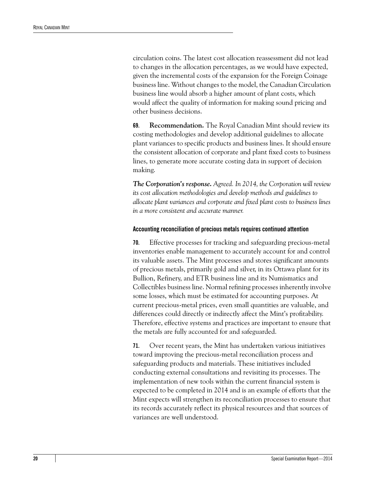circulation coins. The latest cost allocation reassessment did not lead to changes in the allocation percentages, as we would have expected, given the incremental costs of the expansion for the Foreign Coinage business line. Without changes to the model, the Canadian Circulation business line would absorb a higher amount of plant costs, which would affect the quality of information for making sound pricing and other business decisions.

**69. Recommendation.** The Royal Canadian Mint should review its costing methodologies and develop additional guidelines to allocate plant variances to specific products and business lines. It should ensure the consistent allocation of corporate and plant fixed costs to business lines, to generate more accurate costing data in support of decision making.

*The Corporation's response. Agreed. In 2014, the Corporation will review its cost allocation methodologies and develop methods and guidelines to allocate plant variances and corporate and fixed plant costs to business lines in a more consistent and accurate manner.*

#### <span id="page-25-0"></span>**Accounting reconciliation of precious metals requires continued attention**

**70.** Effective processes for tracking and safeguarding precious-metal inventories enable management to accurately account for and control its valuable assets. The Mint processes and stores significant amounts of precious metals, primarily gold and silver, in its Ottawa plant for its Bullion, Refinery, and ETR business line and its Numismatics and Collectibles business line. Normal refining processes inherently involve some losses, which must be estimated for accounting purposes. At current precious-metal prices, even small quantities are valuable, and differences could directly or indirectly affect the Mint's profitability. Therefore, effective systems and practices are important to ensure that the metals are fully accounted for and safeguarded.

**71.** Over recent years, the Mint has undertaken various initiatives toward improving the precious-metal reconciliation process and safeguarding products and materials. These initiatives included conducting external consultations and revisiting its processes. The implementation of new tools within the current financial system is expected to be completed in 2014 and is an example of efforts that the Mint expects will strengthen its reconciliation processes to ensure that its records accurately reflect its physical resources and that sources of variances are well understood.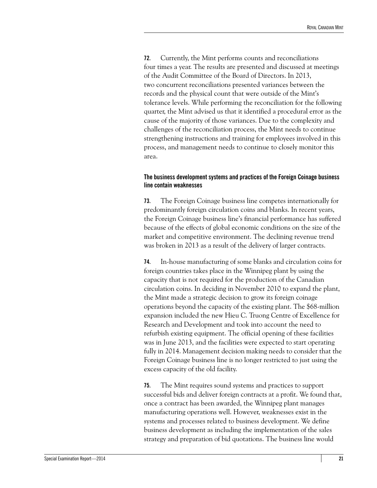**72.** Currently, the Mint performs counts and reconciliations four times a year. The results are presented and discussed at meetings of the Audit Committee of the Board of Directors. In 2013, two concurrent reconciliations presented variances between the records and the physical count that were outside of the Mint's tolerance levels. While performing the reconciliation for the following quarter, the Mint advised us that it identified a procedural error as the cause of the majority of those variances. Due to the complexity and challenges of the reconciliation process, the Mint needs to continue strengthening instructions and training for employees involved in this process, and management needs to continue to closely monitor this area.

#### <span id="page-26-0"></span>**The business development systems and practices of the Foreign Coinage business line contain weaknesses**

**73.** The Foreign Coinage business line competes internationally for predominantly foreign circulation coins and blanks. In recent years, the Foreign Coinage business line's financial performance has suffered because of the effects of global economic conditions on the size of the market and competitive environment. The declining revenue trend was broken in 2013 as a result of the delivery of larger contracts.

**74.** In-house manufacturing of some blanks and circulation coins for foreign countries takes place in the Winnipeg plant by using the capacity that is not required for the production of the Canadian circulation coins. In deciding in November 2010 to expand the plant, the Mint made a strategic decision to grow its foreign coinage operations beyond the capacity of the existing plant. The \$68-million expansion included the new Hieu C. Truong Centre of Excellence for Research and Development and took into account the need to refurbish existing equipment. The official opening of these facilities was in June 2013, and the facilities were expected to start operating fully in 2014. Management decision making needs to consider that the Foreign Coinage business line is no longer restricted to just using the excess capacity of the old facility.

**75.** The Mint requires sound systems and practices to support successful bids and deliver foreign contracts at a profit. We found that, once a contract has been awarded, the Winnipeg plant manages manufacturing operations well. However, weaknesses exist in the systems and processes related to business development. We define business development as including the implementation of the sales strategy and preparation of bid quotations. The business line would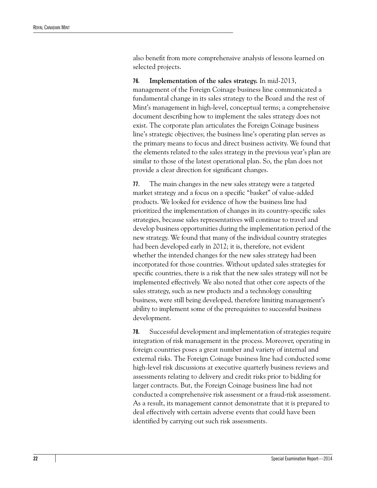also benefit from more comprehensive analysis of lessons learned on selected projects.

**76. Implementation of the sales strategy.** In mid-2013, management of the Foreign Coinage business line communicated a fundamental change in its sales strategy to the Board and the rest of Mint's management in high-level, conceptual terms; a comprehensive document describing how to implement the sales strategy does not exist. The corporate plan articulates the Foreign Coinage business line's strategic objectives; the business line's operating plan serves as the primary means to focus and direct business activity. We found that the elements related to the sales strategy in the previous year's plan are similar to those of the latest operational plan. So, the plan does not provide a clear direction for significant changes.

**77.** The main changes in the new sales strategy were a targeted market strategy and a focus on a specific "basket" of value-added products. We looked for evidence of how the business line had prioritized the implementation of changes in its country-specific sales strategies, because sales representatives will continue to travel and develop business opportunities during the implementation period of the new strategy. We found that many of the individual country strategies had been developed early in 2012; it is, therefore, not evident whether the intended changes for the new sales strategy had been incorporated for those countries. Without updated sales strategies for specific countries, there is a risk that the new sales strategy will not be implemented effectively. We also noted that other core aspects of the sales strategy, such as new products and a technology consulting business, were still being developed, therefore limiting management's ability to implement some of the prerequisites to successful business development.

**78.** Successful development and implementation of strategies require integration of risk management in the process. Moreover, operating in foreign countries poses a great number and variety of internal and external risks. The Foreign Coinage business line had conducted some high-level risk discussions at executive quarterly business reviews and assessments relating to delivery and credit risks prior to bidding for larger contracts. But, the Foreign Coinage business line had not conducted a comprehensive risk assessment or a fraud-risk assessment. As a result, its management cannot demonstrate that it is prepared to deal effectively with certain adverse events that could have been identified by carrying out such risk assessments.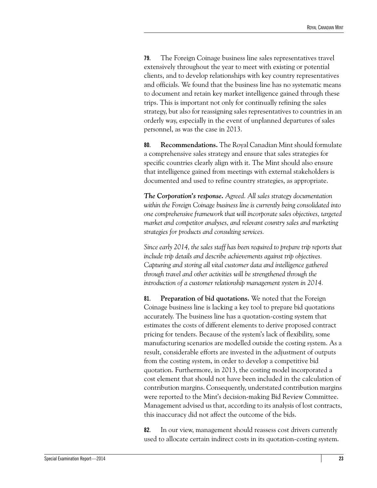**79.** The Foreign Coinage business line sales representatives travel extensively throughout the year to meet with existing or potential clients, and to develop relationships with key country representatives and officials. We found that the business line has no systematic means to document and retain key market intelligence gained through these trips. This is important not only for continually refining the sales strategy, but also for reassigning sales representatives to countries in an orderly way, especially in the event of unplanned departures of sales personnel, as was the case in 2013.

**80. Recommendations.** The Royal Canadian Mint should formulate a comprehensive sales strategy and ensure that sales strategies for specific countries clearly align with it. The Mint should also ensure that intelligence gained from meetings with external stakeholders is documented and used to refine country strategies, as appropriate.

*The Corporation's response. Agreed. All sales strategy documentation within the Foreign Coinage business line is currently being consolidated into one comprehensive framework that will incorporate sales objectives, targeted market and competitor analyses, and relevant country sales and marketing strategies for products and consulting services.*

*Since early 2014, the sales staff has been required to prepare trip reports that include trip details and describe achievements against trip objectives. Capturing and storing all vital customer data and intelligence gathered through travel and other activities will be strengthened through the introduction of a customer relationship management system in 2014.*

**81. Preparation of bid quotations.** We noted that the Foreign Coinage business line is lacking a key tool to prepare bid quotations accurately. The business line has a quotation-costing system that estimates the costs of different elements to derive proposed contract pricing for tenders. Because of the system's lack of flexibility, some manufacturing scenarios are modelled outside the costing system. As a result, considerable efforts are invested in the adjustment of outputs from the costing system, in order to develop a competitive bid quotation. Furthermore, in 2013, the costing model incorporated a cost element that should not have been included in the calculation of contribution margins. Consequently, understated contribution margins were reported to the Mint's decision-making Bid Review Committee. Management advised us that, according to its analysis of lost contracts, this inaccuracy did not affect the outcome of the bids.

**82.** In our view, management should reassess cost drivers currently used to allocate certain indirect costs in its quotation-costing system.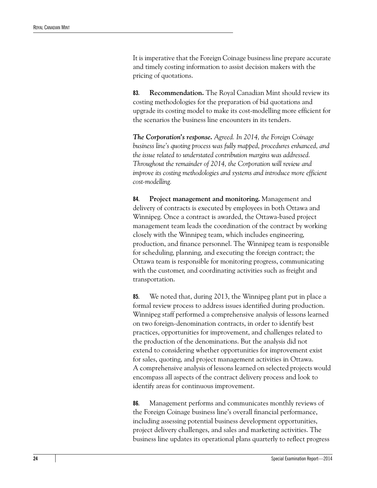It is imperative that the Foreign Coinage business line prepare accurate and timely costing information to assist decision makers with the pricing of quotations.

**83. Recommendation.** The Royal Canadian Mint should review its costing methodologies for the preparation of bid quotations and upgrade its costing model to make its cost-modelling more efficient for the scenarios the business line encounters in its tenders.

*The Corporation's response. Agreed. In 2014, the Foreign Coinage business line's quoting process was fully mapped, procedures enhanced, and the issue related to understated contribution margins was addressed. Throughout the remainder of 2014, the Corporation will review and improve its costing methodologies and systems and introduce more efficient cost-modelling.*

**84. Project management and monitoring.** Management and delivery of contracts is executed by employees in both Ottawa and Winnipeg. Once a contract is awarded, the Ottawa-based project management team leads the coordination of the contract by working closely with the Winnipeg team, which includes engineering, production, and finance personnel. The Winnipeg team is responsible for scheduling, planning, and executing the foreign contract; the Ottawa team is responsible for monitoring progress, communicating with the customer, and coordinating activities such as freight and transportation.

**85.** We noted that, during 2013, the Winnipeg plant put in place a formal review process to address issues identified during production. Winnipeg staff performed a comprehensive analysis of lessons learned on two foreign-denomination contracts, in order to identify best practices, opportunities for improvement, and challenges related to the production of the denominations. But the analysis did not extend to considering whether opportunities for improvement exist for sales, quoting, and project management activities in Ottawa. A comprehensive analysis of lessons learned on selected projects would encompass all aspects of the contract delivery process and look to identify areas for continuous improvement.

**86.** Management performs and communicates monthly reviews of the Foreign Coinage business line's overall financial performance, including assessing potential business development opportunities, project delivery challenges, and sales and marketing activities. The business line updates its operational plans quarterly to reflect progress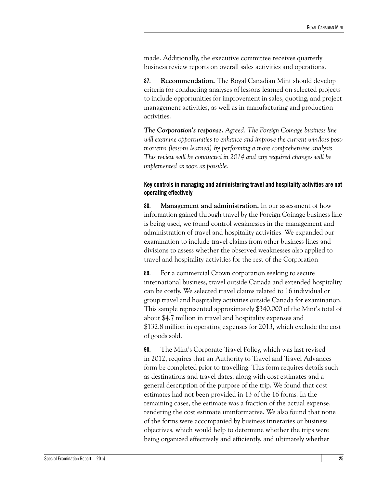made. Additionally, the executive committee receives quarterly business review reports on overall sales activities and operations.

**87. Recommendation.** The Royal Canadian Mint should develop criteria for conducting analyses of lessons learned on selected projects to include opportunities for improvement in sales, quoting, and project management activities, as well as in manufacturing and production activities.

*The Corporation's response. Agreed. The Foreign Coinage business line will examine opportunities to enhance and improve the current win/loss postmortems (lessons learned) by performing a more comprehensive analysis. This review will be conducted in 2014 and any required changes will be implemented as soon as possible.*

#### <span id="page-30-0"></span>**Key controls in managing and administering travel and hospitality activities are not operating effectively**

**88. Management and administration.** In our assessment of how information gained through travel by the Foreign Coinage business line is being used, we found control weaknesses in the management and administration of travel and hospitality activities. We expanded our examination to include travel claims from other business lines and divisions to assess whether the observed weaknesses also applied to travel and hospitality activities for the rest of the Corporation.

**89.** For a commercial Crown corporation seeking to secure international business, travel outside Canada and extended hospitality can be costly. We selected travel claims related to 16 individual or group travel and hospitality activities outside Canada for examination. This sample represented approximately \$340,000 of the Mint's total of about \$4.7 million in travel and hospitality expenses and \$132.8 million in operating expenses for 2013, which exclude the cost of goods sold.

**90.** The Mint's Corporate Travel Policy, which was last revised in 2012, requires that an Authority to Travel and Travel Advances form be completed prior to travelling. This form requires details such as destinations and travel dates, along with cost estimates and a general description of the purpose of the trip. We found that cost estimates had not been provided in 13 of the 16 forms. In the remaining cases, the estimate was a fraction of the actual expense, rendering the cost estimate uninformative. We also found that none of the forms were accompanied by business itineraries or business objectives, which would help to determine whether the trips were being organized effectively and efficiently, and ultimately whether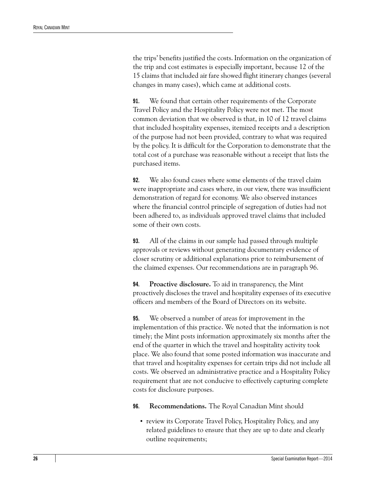the trips' benefits justified the costs. Information on the organization of the trip and cost estimates is especially important, because 12 of the 15 claims that included air fare showed flight itinerary changes (several changes in many cases), which came at additional costs.

**91.** We found that certain other requirements of the Corporate Travel Policy and the Hospitality Policy were not met. The most common deviation that we observed is that, in 10 of 12 travel claims that included hospitality expenses, itemized receipts and a description of the purpose had not been provided, contrary to what was required by the policy. It is difficult for the Corporation to demonstrate that the total cost of a purchase was reasonable without a receipt that lists the purchased items.

**92.** We also found cases where some elements of the travel claim were inappropriate and cases where, in our view, there was insufficient demonstration of regard for economy. We also observed instances where the financial control principle of segregation of duties had not been adhered to, as individuals approved travel claims that included some of their own costs.

**93.** All of the claims in our sample had passed through multiple approvals or reviews without generating documentary evidence of closer scrutiny or additional explanations prior to reimbursement of the claimed expenses. Our recommendations are in paragraph 96.

**94. Proactive disclosure.** To aid in transparency, the Mint proactively discloses the travel and hospitality expenses of its executive officers and members of the Board of Directors on its website.

**95.** We observed a number of areas for improvement in the implementation of this practice. We noted that the information is not timely; the Mint posts information approximately six months after the end of the quarter in which the travel and hospitality activity took place. We also found that some posted information was inaccurate and that travel and hospitality expenses for certain trips did not include all costs. We observed an administrative practice and a Hospitality Policy requirement that are not conducive to effectively capturing complete costs for disclosure purposes.

**96. Recommendations.** The Royal Canadian Mint should

• review its Corporate Travel Policy, Hospitality Policy, and any related guidelines to ensure that they are up to date and clearly outline requirements;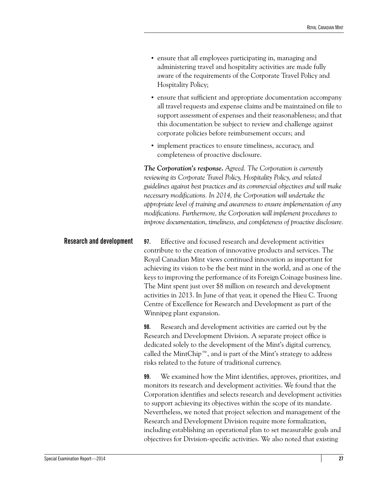- **•** ensure that all employees participating in, managing and administering travel and hospitality activities are made fully aware of the requirements of the Corporate Travel Policy and Hospitality Policy;
- **•** ensure that sufficient and appropriate documentation accompany all travel requests and expense claims and be maintained on file to support assessment of expenses and their reasonableness; and that this documentation be subject to review and challenge against corporate policies before reimbursement occurs; and
- **•** implement practices to ensure timeliness, accuracy, and completeness of proactive disclosure.

*The Corporation's response. Agreed. The Corporation is currently reviewing its Corporate Travel Policy, Hospitality Policy, and related guidelines against best practices and its commercial objectives and will make necessary modifications. In 2014, the Corporation will undertake the appropriate level of training and awareness to ensure implementation of any modifications. Furthermore, the Corporation will implement procedures to improve documentation, timeliness, and completeness of proactive disclosure.*

<span id="page-32-1"></span><span id="page-32-0"></span>**Research and development 97.** Effective and focused research and development activities contribute to the creation of innovative products and services. The Royal Canadian Mint views continued innovation as important for achieving its vision to be the best mint in the world, and as one of the keys to improving the performance of its Foreign Coinage business line. The Mint spent just over \$8 million on research and development activities in 2013. In June of that year, it opened the Hieu C. Truong Centre of Excellence for Research and Development as part of the Winnipeg plant expansion.

> **98.** Research and development activities are carried out by the Research and Development Division. A separate project office is dedicated solely to the development of the Mint's digital currency, called the MintChip™, and is part of the Mint's strategy to address risks related to the future of traditional currency.

**99.** We examined how the Mint identifies, approves, prioritizes, and monitors its research and development activities. We found that the Corporation identifies and selects research and development activities to support achieving its objectives within the scope of its mandate. Nevertheless, we noted that project selection and management of the Research and Development Division require more formalization, including establishing an operational plan to set measurable goals and objectives for Division-specific activities. We also noted that existing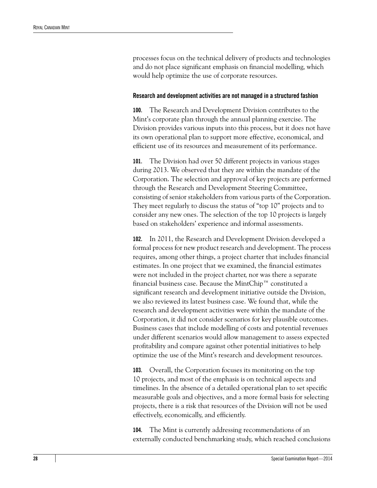processes focus on the technical delivery of products and technologies and do not place significant emphasis on financial modelling, which would help optimize the use of corporate resources.

#### <span id="page-33-0"></span>**Research and development activities are not managed in a structured fashion**

**100.** The Research and Development Division contributes to the Mint's corporate plan through the annual planning exercise. The Division provides various inputs into this process, but it does not have its own operational plan to support more effective, economical, and efficient use of its resources and measurement of its performance.

**101.** The Division had over 50 different projects in various stages during 2013. We observed that they are within the mandate of the Corporation. The selection and approval of key projects are performed through the Research and Development Steering Committee, consisting of senior stakeholders from various parts of the Corporation. They meet regularly to discuss the status of "top 10" projects and to consider any new ones. The selection of the top 10 projects is largely based on stakeholders' experience and informal assessments.

**102.** In 2011, the Research and Development Division developed a formal process for new product research and development. The process requires, among other things, a project charter that includes financial estimates. In one project that we examined, the financial estimates were not included in the project charter, nor was there a separate financial business case. Because the MintChip™ constituted a significant research and development initiative outside the Division, we also reviewed its latest business case. We found that, while the research and development activities were within the mandate of the Corporation, it did not consider scenarios for key plausible outcomes. Business cases that include modelling of costs and potential revenues under different scenarios would allow management to assess expected profitability and compare against other potential initiatives to help optimize the use of the Mint's research and development resources.

**103.** Overall, the Corporation focuses its monitoring on the top 10 projects, and most of the emphasis is on technical aspects and timelines. In the absence of a detailed operational plan to set specific measurable goals and objectives, and a more formal basis for selecting projects, there is a risk that resources of the Division will not be used effectively, economically, and efficiently.

**104.** The Mint is currently addressing recommendations of an externally conducted benchmarking study, which reached conclusions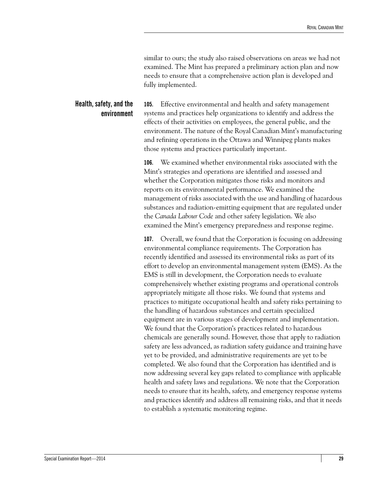similar to ours; the study also raised observations on areas we had not examined. The Mint has prepared a preliminary action plan and now needs to ensure that a comprehensive action plan is developed and fully implemented.

### <span id="page-34-1"></span><span id="page-34-0"></span>**Health, safety, and the environment**

**105.** Effective environmental and health and safety management systems and practices help organizations to identify and address the effects of their activities on employees, the general public, and the environment. The nature of the Royal Canadian Mint's manufacturing and refining operations in the Ottawa and Winnipeg plants makes those systems and practices particularly important.

**106.** We examined whether environmental risks associated with the Mint's strategies and operations are identified and assessed and whether the Corporation mitigates those risks and monitors and reports on its environmental performance. We examined the management of risks associated with the use and handling of hazardous substances and radiation-emitting equipment that are regulated under the *Canada Labour Code* and other safety legislation. We also examined the Mint's emergency preparedness and response regime.

**107.** Overall, we found that the Corporation is focusing on addressing environmental compliance requirements. The Corporation has recently identified and assessed its environmental risks as part of its effort to develop an environmental management system (EMS). As the EMS is still in development, the Corporation needs to evaluate comprehensively whether existing programs and operational controls appropriately mitigate all those risks. We found that systems and practices to mitigate occupational health and safety risks pertaining to the handling of hazardous substances and certain specialized equipment are in various stages of development and implementation. We found that the Corporation's practices related to hazardous chemicals are generally sound. However, those that apply to radiation safety are less advanced, as radiation safety guidance and training have yet to be provided, and administrative requirements are yet to be completed. We also found that the Corporation has identified and is now addressing several key gaps related to compliance with applicable health and safety laws and regulations. We note that the Corporation needs to ensure that its health, safety, and emergency response systems and practices identify and address all remaining risks, and that it needs to establish a systematic monitoring regime.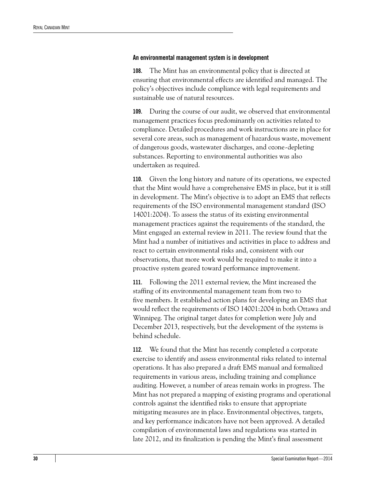#### <span id="page-35-0"></span>**An environmental management system is in development**

**108.** The Mint has an environmental policy that is directed at ensuring that environmental effects are identified and managed. The policy's objectives include compliance with legal requirements and sustainable use of natural resources.

**109.** During the course of our audit, we observed that environmental management practices focus predominantly on activities related to compliance. Detailed procedures and work instructions are in place for several core areas, such as management of hazardous waste, movement of dangerous goods, wastewater discharges, and ozone-depleting substances. Reporting to environmental authorities was also undertaken as required.

**110.** Given the long history and nature of its operations, we expected that the Mint would have a comprehensive EMS in place, but it is still in development. The Mint's objective is to adopt an EMS that reflects requirements of the ISO environmental management standard (ISO 14001:2004). To assess the status of its existing environmental management practices against the requirements of the standard, the Mint engaged an external review in 2011. The review found that the Mint had a number of initiatives and activities in place to address and react to certain environmental risks and, consistent with our observations, that more work would be required to make it into a proactive system geared toward performance improvement.

**111.** Following the 2011 external review, the Mint increased the staffing of its environmental management team from two to five members. It established action plans for developing an EMS that would reflect the requirements of ISO 14001:2004 in both Ottawa and Winnipeg. The original target dates for completion were July and December 2013, respectively, but the development of the systems is behind schedule.

**112.** We found that the Mint has recently completed a corporate exercise to identify and assess environmental risks related to internal operations. It has also prepared a draft EMS manual and formalized requirements in various areas, including training and compliance auditing. However, a number of areas remain works in progress. The Mint has not prepared a mapping of existing programs and operational controls against the identified risks to ensure that appropriate mitigating measures are in place. Environmental objectives, targets, and key performance indicators have not been approved. A detailed compilation of environmental laws and regulations was started in late 2012, and its finalization is pending the Mint's final assessment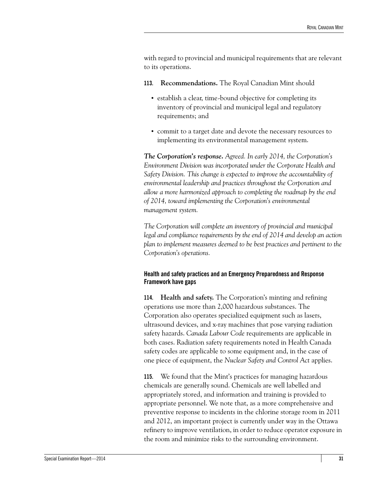with regard to provincial and municipal requirements that are relevant to its operations.

- **113. Recommendations.** The Royal Canadian Mint should
	- **•** establish a clear, time-bound objective for completing its inventory of provincial and municipal legal and regulatory requirements; and
	- **•** commit to a target date and devote the necessary resources to implementing its environmental management system.

*The Corporation's response. Agreed. In early 2014, the Corporation's Environment Division was incorporated under the Corporate Health and Safety Division. This change is expected to improve the accountability of environmental leadership and practices throughout the Corporation and allow a more harmonized approach to completing the roadmap by the end of 2014, toward implementing the Corporation's environmental management system.*

*The Corporation will complete an inventory of provincial and municipal legal and compliance requirements by the end of 2014 and develop an action plan to implement measures deemed to be best practices and pertinent to the Corporation's operations.*

#### <span id="page-36-0"></span>**Health and safety practices and an Emergency Preparedness and Response Framework have gaps**

**114. Health and safety.** The Corporation's minting and refining operations use more than 2,000 hazardous substances. The Corporation also operates specialized equipment such as lasers, ultrasound devices, and x-ray machines that pose varying radiation safety hazards. *Canada Labour Code* requirements are applicable in both cases. Radiation safety requirements noted in Health Canada safety codes are applicable to some equipment and, in the case of one piece of equipment, the *Nuclear Safety and Control Act* applies.

**115.** We found that the Mint's practices for managing hazardous chemicals are generally sound. Chemicals are well labelled and appropriately stored, and information and training is provided to appropriate personnel. We note that, as a more comprehensive and preventive response to incidents in the chlorine storage room in 2011 and 2012, an important project is currently under way in the Ottawa refinery to improve ventilation, in order to reduce operator exposure in the room and minimize risks to the surrounding environment.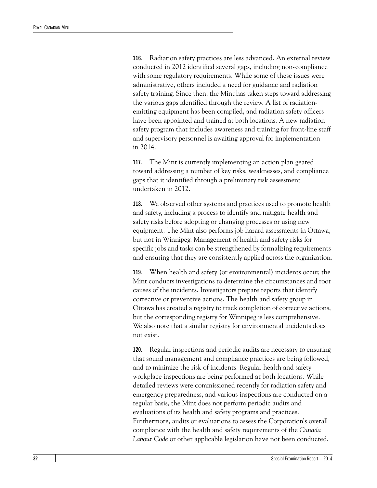**116.** Radiation safety practices are less advanced. An external review conducted in 2012 identified several gaps, including non-compliance with some regulatory requirements. While some of these issues were administrative, others included a need for guidance and radiation safety training. Since then, the Mint has taken steps toward addressing the various gaps identified through the review. A list of radiationemitting equipment has been compiled, and radiation safety officers have been appointed and trained at both locations. A new radiation safety program that includes awareness and training for front-line staff and supervisory personnel is awaiting approval for implementation in 2014.

**117.** The Mint is currently implementing an action plan geared toward addressing a number of key risks, weaknesses, and compliance gaps that it identified through a preliminary risk assessment undertaken in 2012.

**118.** We observed other systems and practices used to promote health and safety, including a process to identify and mitigate health and safety risks before adopting or changing processes or using new equipment. The Mint also performs job hazard assessments in Ottawa, but not in Winnipeg. Management of health and safety risks for specific jobs and tasks can be strengthened by formalizing requirements and ensuring that they are consistently applied across the organization.

**119.** When health and safety (or environmental) incidents occur, the Mint conducts investigations to determine the circumstances and root causes of the incidents. Investigators prepare reports that identify corrective or preventive actions. The health and safety group in Ottawa has created a registry to track completion of corrective actions, but the corresponding registry for Winnipeg is less comprehensive. We also note that a similar registry for environmental incidents does not exist.

**120.** Regular inspections and periodic audits are necessary to ensuring that sound management and compliance practices are being followed, and to minimize the risk of incidents. Regular health and safety workplace inspections are being performed at both locations. While detailed reviews were commissioned recently for radiation safety and emergency preparedness, and various inspections are conducted on a regular basis, the Mint does not perform periodic audits and evaluations of its health and safety programs and practices. Furthermore, audits or evaluations to assess the Corporation's overall compliance with the health and safety requirements of the *Canada Labour Code* or other applicable legislation have not been conducted.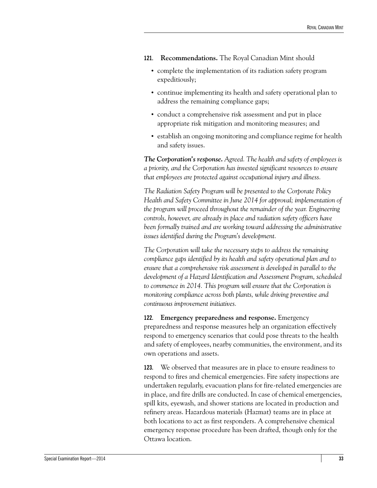- **121. Recommendations.** The Royal Canadian Mint should
	- **•** complete the implementation of its radiation safety program expeditiously;
	- **•** continue implementing its health and safety operational plan to address the remaining compliance gaps;
	- **•** conduct a comprehensive risk assessment and put in place appropriate risk mitigation and monitoring measures; and
	- **•** establish an ongoing monitoring and compliance regime for health and safety issues.

*The Corporation's response. Agreed. The health and safety of employees is a priority, and the Corporation has invested significant resources to ensure that employees are protected against occupational injury and illness.*

*The Radiation Safety Program will be presented to the Corporate Policy Health and Safety Committee in June 2014 for approval; implementation of the program will proceed throughout the remainder of the year. Engineering controls, however, are already in place and radiation safety officers have been formally trained and are working toward addressing the administrative issues identified during the Program's development.*

*The Corporation will take the necessary steps to address the remaining compliance gaps identified by its health and safety operational plan and to ensure that a comprehensive risk assessment is developed in parallel to the development of a Hazard Identification and Assessment Program, scheduled to commence in 2014. This program will ensure that the Corporation is monitoring compliance across both plants, while driving preventive and continuous improvement initiatives.*

**122. Emergency preparedness and response.** Emergency preparedness and response measures help an organization effectively respond to emergency scenarios that could pose threats to the health and safety of employees, nearby communities, the environment, and its own operations and assets.

**123.** We observed that measures are in place to ensure readiness to respond to fires and chemical emergencies. Fire safety inspections are undertaken regularly, evacuation plans for fire-related emergencies are in place, and fire drills are conducted. In case of chemical emergencies, spill kits, eyewash, and shower stations are located in production and refinery areas. Hazardous materials (Hazmat) teams are in place at both locations to act as first responders. A comprehensive chemical emergency response procedure has been drafted, though only for the Ottawa location.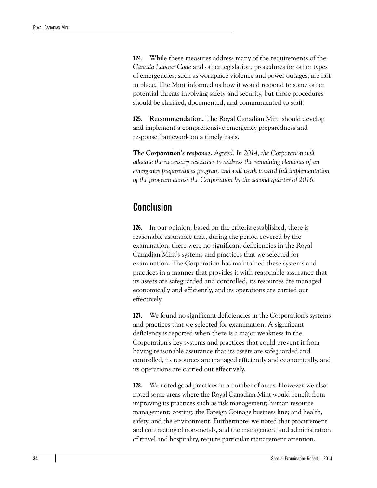**124.** While these measures address many of the requirements of the *Canada Labour Code* and other legislation, procedures for other types of emergencies, such as workplace violence and power outages, are not in place. The Mint informed us how it would respond to some other potential threats involving safety and security, but those procedures should be clarified, documented, and communicated to staff.

**125. Recommendation.** The Royal Canadian Mint should develop and implement a comprehensive emergency preparedness and response framework on a timely basis.

*The Corporation's response. Agreed. In 2014, the Corporation will allocate the necessary resources to address the remaining elements of an emergency preparedness program and will work toward full implementation of the program across the Corporation by the second quarter of 2016.*

### <span id="page-39-0"></span>**Conclusion**

**126.** In our opinion, based on the criteria established, there is reasonable assurance that, during the period covered by the examination, there were no significant deficiencies in the Royal Canadian Mint's systems and practices that we selected for examination. The Corporation has maintained these systems and practices in a manner that provides it with reasonable assurance that its assets are safeguarded and controlled, its resources are managed economically and efficiently, and its operations are carried out effectively.

**127.** We found no significant deficiencies in the Corporation's systems and practices that we selected for examination. A significant deficiency is reported when there is a major weakness in the Corporation's key systems and practices that could prevent it from having reasonable assurance that its assets are safeguarded and controlled, its resources are managed efficiently and economically, and its operations are carried out effectively.

**128.** We noted good practices in a number of areas. However, we also noted some areas where the Royal Canadian Mint would benefit from improving its practices such as risk management; human resource management; costing; the Foreign Coinage business line; and health, safety, and the environment. Furthermore, we noted that procurement and contracting of non-metals, and the management and administration of travel and hospitality, require particular management attention.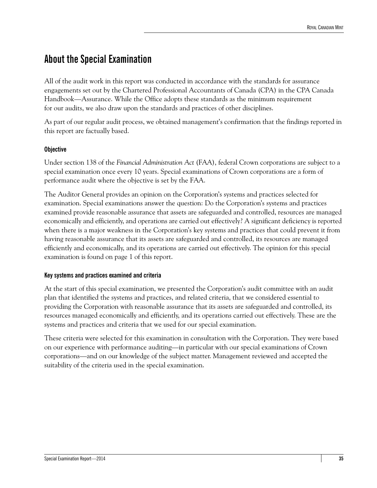## <span id="page-40-0"></span>**About the Special Examination**

All of the audit work in this report was conducted in accordance with the standards for assurance engagements set out by the Chartered Professional Accountants of Canada (CPA) in the CPA Canada Handbook—Assurance. While the Office adopts these standards as the minimum requirement for our audits, we also draw upon the standards and practices of other disciplines.

As part of our regular audit process, we obtained management's confirmation that the findings reported in this report are factually based.

#### **Objective**

Under section 138 of the *Financial Administration Act* (FAA), federal Crown corporations are subject to a special examination once every 10 years. Special examinations of Crown corporations are a form of performance audit where the objective is set by the FAA.

The Auditor General provides an opinion on the Corporation's systems and practices selected for examination. Special examinations answer the question: Do the Corporation's systems and practices examined provide reasonable assurance that assets are safeguarded and controlled, resources are managed economically and efficiently, and operations are carried out effectively? A significant deficiency is reported when there is a major weakness in the Corporation's key systems and practices that could prevent it from having reasonable assurance that its assets are safeguarded and controlled, its resources are managed efficiently and economically, and its operations are carried out effectively. The opinion for this special examination is found on page 1 of this report.

#### **Key systems and practices examined and criteria**

At the start of this special examination, we presented the Corporation's audit committee with an audit plan that identified the systems and practices, and related criteria, that we considered essential to providing the Corporation with reasonable assurance that its assets are safeguarded and controlled, its resources managed economically and efficiently, and its operations carried out effectively. These are the systems and practices and criteria that we used for our special examination.

These criteria were selected for this examination in consultation with the Corporation. They were based on our experience with performance auditing—in particular with our special examinations of Crown corporations—and on our knowledge of the subject matter. Management reviewed and accepted the suitability of the criteria used in the special examination.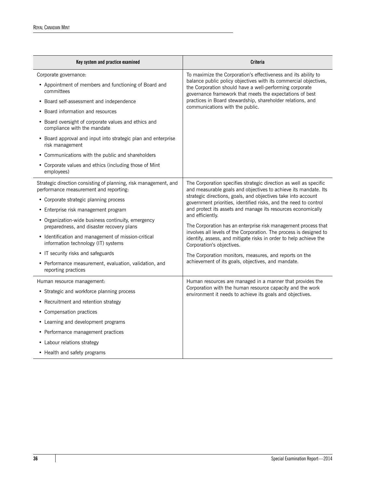| Key system and practice examined                                                                                                                                                                                                                                                                                                                                                                                                                                                                                     | Criteria                                                                                                                                                                                                                                                                                                                                                                                                                                                                                                                                                                                                                                                                                                                |  |  |
|----------------------------------------------------------------------------------------------------------------------------------------------------------------------------------------------------------------------------------------------------------------------------------------------------------------------------------------------------------------------------------------------------------------------------------------------------------------------------------------------------------------------|-------------------------------------------------------------------------------------------------------------------------------------------------------------------------------------------------------------------------------------------------------------------------------------------------------------------------------------------------------------------------------------------------------------------------------------------------------------------------------------------------------------------------------------------------------------------------------------------------------------------------------------------------------------------------------------------------------------------------|--|--|
| Corporate governance:<br>• Appointment of members and functioning of Board and<br>committees                                                                                                                                                                                                                                                                                                                                                                                                                         | To maximize the Corporation's effectiveness and its ability to<br>balance public policy objectives with its commercial objectives,<br>the Corporation should have a well-performing corporate<br>governance framework that meets the expectations of best                                                                                                                                                                                                                                                                                                                                                                                                                                                               |  |  |
| • Board self-assessment and independence<br>• Board information and resources<br>• Board oversight of corporate values and ethics and<br>compliance with the mandate<br>• Board approval and input into strategic plan and enterprise<br>risk management<br>• Communications with the public and shareholders<br>• Corporate values and ethics (including those of Mint<br>employees)                                                                                                                                | practices in Board stewardship, shareholder relations, and<br>communications with the public.                                                                                                                                                                                                                                                                                                                                                                                                                                                                                                                                                                                                                           |  |  |
| Strategic direction consisting of planning, risk management, and<br>performance measurement and reporting:<br>• Corporate strategic planning process<br>• Enterprise risk management program<br>• Organization-wide business continuity, emergency<br>preparedness, and disaster recovery plans<br>• Identification and management of mission-critical<br>information technology (IT) systems<br>• IT security risks and safeguards<br>• Performance measurement, evaluation, validation, and<br>reporting practices | The Corporation specifies strategic direction as well as specific<br>and measurable goals and objectives to achieve its mandate. Its<br>strategic directions, goals, and objectives take into account<br>government priorities, identified risks, and the need to control<br>and protect its assets and manage its resources economically<br>and efficiently.<br>The Corporation has an enterprise risk management process that<br>involves all levels of the Corporation. The process is designed to<br>identify, assess, and mitigate risks in order to help achieve the<br>Corporation's objectives.<br>The Corporation monitors, measures, and reports on the<br>achievement of its goals, objectives, and mandate. |  |  |
| Human resource management:<br>• Strategic and workforce planning process<br>• Recruitment and retention strategy<br>• Compensation practices<br>• Learning and development programs<br>• Performance management practices<br>• Labour relations strategy<br>• Health and safety programs                                                                                                                                                                                                                             | Human resources are managed in a manner that provides the<br>Corporation with the human resource capacity and the work<br>environment it needs to achieve its goals and objectives.                                                                                                                                                                                                                                                                                                                                                                                                                                                                                                                                     |  |  |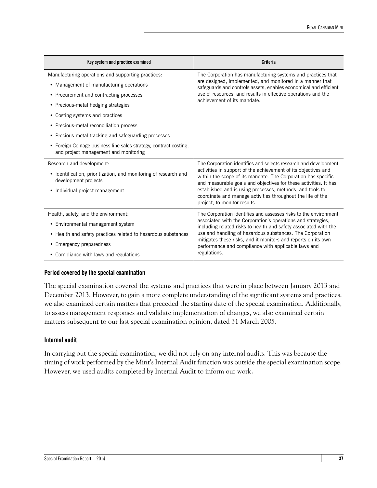| Key system and practice examined                                                                           | Criteria                                                                                                                                                                                            |  |  |
|------------------------------------------------------------------------------------------------------------|-----------------------------------------------------------------------------------------------------------------------------------------------------------------------------------------------------|--|--|
| Manufacturing operations and supporting practices.                                                         | The Corporation has manufacturing systems and practices that                                                                                                                                        |  |  |
| • Management of manufacturing operations                                                                   | are designed, implemented, and monitored in a manner that<br>safeguards and controls assets, enables economical and efficient                                                                       |  |  |
| • Procurement and contracting processes                                                                    | use of resources, and results in effective operations and the<br>achievement of its mandate.                                                                                                        |  |  |
| • Precious-metal hedging strategies                                                                        |                                                                                                                                                                                                     |  |  |
| • Costing systems and practices                                                                            |                                                                                                                                                                                                     |  |  |
| • Precious-metal reconciliation process                                                                    |                                                                                                                                                                                                     |  |  |
| • Precious-metal tracking and safeguarding processes                                                       |                                                                                                                                                                                                     |  |  |
| • Foreign Coinage business line sales strategy, contract costing,<br>and project management and monitoring |                                                                                                                                                                                                     |  |  |
| Research and development:                                                                                  | The Corporation identifies and selects research and development                                                                                                                                     |  |  |
| • Identification, prioritization, and monitoring of research and<br>development projects                   | activities in support of the achievement of its objectives and<br>within the scope of its mandate. The Corporation has specific<br>and measurable goals and objectives for these activities. It has |  |  |
| • Individual project management                                                                            | established and is using processes, methods, and tools to<br>coordinate and manage activities throughout the life of the<br>project, to monitor results.                                            |  |  |
| Health, safety, and the environment:                                                                       | The Corporation identifies and assesses risks to the environment                                                                                                                                    |  |  |
| • Environmental management system                                                                          | associated with the Corporation's operations and strategies,<br>including related risks to health and safety associated with the                                                                    |  |  |
| • Health and safety practices related to hazardous substances                                              | use and handling of hazardous substances. The Corporation                                                                                                                                           |  |  |
| • Emergency preparedness                                                                                   | mitigates these risks, and it monitors and reports on its own<br>performance and compliance with applicable laws and                                                                                |  |  |
| • Compliance with laws and regulations                                                                     | regulations.                                                                                                                                                                                        |  |  |

#### **Period covered by the special examination**

The special examination covered the systems and practices that were in place between January 2013 and December 2013. However, to gain a more complete understanding of the significant systems and practices, we also examined certain matters that preceded the starting date of the special examination. Additionally, to assess management responses and validate implementation of changes, we also examined certain matters subsequent to our last special examination opinion, dated 31 March 2005.

#### **Internal audit**

In carrying out the special examination, we did not rely on any internal audits. This was because the timing of work performed by the Mint's Internal Audit function was outside the special examination scope. However, we used audits completed by Internal Audit to inform our work.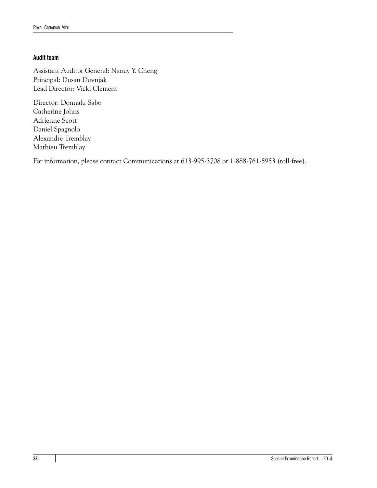#### **Audit team**

Assistant Auditor General: Nancy Y. Cheng Principal: Dusan Duvnjak Lead Director: Vicki Clement

Director: Donnalu Sabo Catherine Johns Adrienne Scott Daniel Spagnolo Alexandre Tremblay Mathieu Tremblay

For information, please contact Communications at 613-995-3708 or 1-888-761-5953 (toll-free).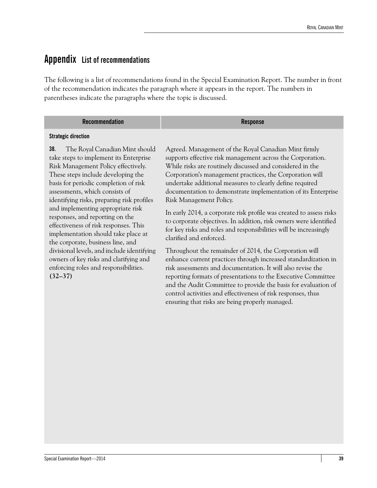### <span id="page-44-0"></span>**Appendix List of recommendations**

The following is a list of recommendations found in the Special Examination Report. The number in front of the recommendation indicates the paragraph where it appears in the report. The numbers in parentheses indicate the paragraphs where the topic is discussed.

| <b>Recommendation</b> | <b>Machanca</b><br>Resdonse |
|-----------------------|-----------------------------|
|-----------------------|-----------------------------|

#### **Strategic direction**

**38.** The Royal Canadian Mint should take steps to implement its Enterprise Risk Management Policy effectively. These steps include developing the basis for periodic completion of risk assessments, which consists of identifying risks, preparing risk profiles and implementing appropriate risk responses, and reporting on the effectiveness of risk responses. This implementation should take place at the corporate, business line, and divisional levels, and include identifying owners of key risks and clarifying and enforcing roles and responsibilities. **(32–37)**

Agreed. Management of the Royal Canadian Mint firmly supports effective risk management across the Corporation. While risks are routinely discussed and considered in the Corporation's management practices, the Corporation will undertake additional measures to clearly define required documentation to demonstrate implementation of its Enterprise Risk Management Policy.

In early 2014, a corporate risk profile was created to assess risks to corporate objectives. In addition, risk owners were identified for key risks and roles and responsibilities will be increasingly clarified and enforced.

Throughout the remainder of 2014, the Corporation will enhance current practices through increased standardization in risk assessments and documentation. It will also revise the reporting formats of presentations to the Executive Committee and the Audit Committee to provide the basis for evaluation of control activities and effectiveness of risk responses, thus ensuring that risks are being properly managed.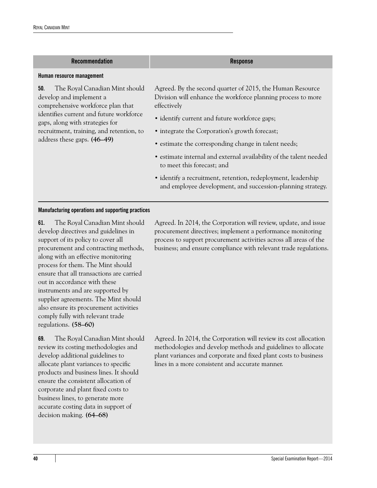| <b>Recommendation</b>                                                                                                                                                               | <b>Response</b>                                                                                                                          |
|-------------------------------------------------------------------------------------------------------------------------------------------------------------------------------------|------------------------------------------------------------------------------------------------------------------------------------------|
| Human resource management                                                                                                                                                           |                                                                                                                                          |
| The Royal Canadian Mint should<br>50.<br>develop and implement a<br>comprehensive workforce plan that<br>identifies current and future workforce<br>gaps, along with strategies for | Agreed. By the second quarter of 2015, the Human Resource<br>Division will enhance the workforce planning process to more<br>effectively |
|                                                                                                                                                                                     | • identify current and future workforce gaps;                                                                                            |
| recruitment, training, and retention, to                                                                                                                                            | • integrate the Corporation's growth forecast;                                                                                           |
| address these gaps. (46–49)                                                                                                                                                         | • estimate the corresponding change in talent needs;                                                                                     |
|                                                                                                                                                                                     | • estimate internal and external availability of the talent needed<br>to meet this forecast; and                                         |
|                                                                                                                                                                                     | • identify a recruitment, retention, redeployment, leadership<br>and employee development, and succession-planning strategy.             |
| Manufacturing operations and supporting practices                                                                                                                                   |                                                                                                                                          |

**61.** The Royal Canadian Mint should develop directives and guidelines in support of its policy to cover all procurement and contracting methods, along with an effective monitoring process for them. The Mint should ensure that all transactions are carried out in accordance with these instruments and are supported by supplier agreements. The Mint should also ensure its procurement activities comply fully with relevant trade regulations. **(58–60)**

**69.** The Royal Canadian Mint should review its costing methodologies and develop additional guidelines to allocate plant variances to specific products and business lines. It should ensure the consistent allocation of corporate and plant fixed costs to business lines, to generate more accurate costing data in support of decision making. **(64–68)**

Agreed. In 2014, the Corporation will review, update, and issue procurement directives; implement a performance monitoring process to support procurement activities across all areas of the business; and ensure compliance with relevant trade regulations.

Agreed. In 2014, the Corporation will review its cost allocation methodologies and develop methods and guidelines to allocate plant variances and corporate and fixed plant costs to business lines in a more consistent and accurate manner.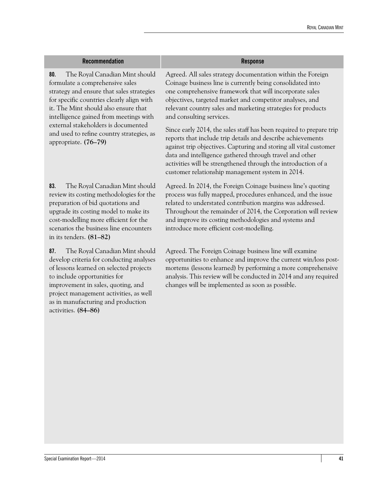| <b>Recommendation</b>                                                                                                                                                                                                                                                                                                                                            | <b>Response</b>                                                                                                                                                                                                                                                                                                                                                                                                                                                                                                                                                                                                                                                                                                                         |
|------------------------------------------------------------------------------------------------------------------------------------------------------------------------------------------------------------------------------------------------------------------------------------------------------------------------------------------------------------------|-----------------------------------------------------------------------------------------------------------------------------------------------------------------------------------------------------------------------------------------------------------------------------------------------------------------------------------------------------------------------------------------------------------------------------------------------------------------------------------------------------------------------------------------------------------------------------------------------------------------------------------------------------------------------------------------------------------------------------------------|
| The Royal Canadian Mint should<br>80.<br>formulate a comprehensive sales<br>strategy and ensure that sales strategies<br>for specific countries clearly align with<br>it. The Mint should also ensure that<br>intelligence gained from meetings with<br>external stakeholders is documented<br>and used to refine country strategies, as<br>appropriate. (76-79) | Agreed. All sales strategy documentation within the Foreign<br>Coinage business line is currently being consolidated into<br>one comprehensive framework that will incorporate sales<br>objectives, targeted market and competitor analyses, and<br>relevant country sales and marketing strategies for products<br>and consulting services.<br>Since early 2014, the sales staff has been required to prepare trip<br>reports that include trip details and describe achievements<br>against trip objectives. Capturing and storing all vital customer<br>data and intelligence gathered through travel and other<br>activities will be strengthened through the introduction of a<br>customer relationship management system in 2014. |
| 83.<br>The Royal Canadian Mint should<br>review its costing methodologies for the<br>preparation of bid quotations and<br>upgrade its costing model to make its<br>cost-modelling more efficient for the<br>scenarios the business line encounters<br>in its tenders. (81-82)                                                                                    | Agreed. In 2014, the Foreign Coinage business line's quoting<br>process was fully mapped, procedures enhanced, and the issue<br>related to understated contribution margins was addressed.<br>Throughout the remainder of 2014, the Corporation will review<br>and improve its costing methodologies and systems and<br>introduce more efficient cost-modelling.                                                                                                                                                                                                                                                                                                                                                                        |
| The Royal Canadian Mint should<br>87.<br>develop criteria for conducting analyses<br>of lessons learned on selected projects<br>to include opportunities for<br>improvement in sales, quoting, and<br>project management activities, as well<br>as in manufacturing and production<br>activities. (84-86)                                                        | Agreed. The Foreign Coinage business line will examine<br>opportunities to enhance and improve the current win/loss post-<br>mortems (lessons learned) by performing a more comprehensive<br>analysis. This review will be conducted in 2014 and any required<br>changes will be implemented as soon as possible.                                                                                                                                                                                                                                                                                                                                                                                                                       |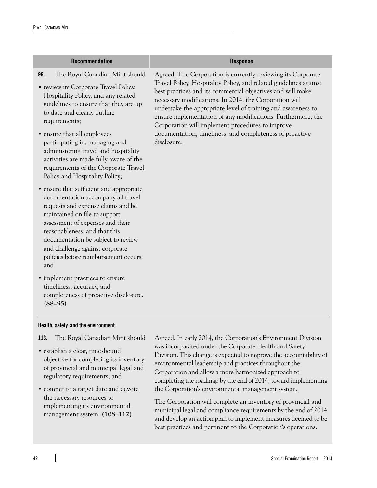| <b>Recommendation</b>                                                                                                                                                                                                                                                                                                                                                                                                                       | <b>Response</b>                                                                                                                                                                                                                                                                                                                                                                                                                                                                                                          |
|---------------------------------------------------------------------------------------------------------------------------------------------------------------------------------------------------------------------------------------------------------------------------------------------------------------------------------------------------------------------------------------------------------------------------------------------|--------------------------------------------------------------------------------------------------------------------------------------------------------------------------------------------------------------------------------------------------------------------------------------------------------------------------------------------------------------------------------------------------------------------------------------------------------------------------------------------------------------------------|
| 96.<br>The Royal Canadian Mint should<br>• review its Corporate Travel Policy,<br>Hospitality Policy, and any related<br>guidelines to ensure that they are up<br>to date and clearly outline<br>requirements;<br>• ensure that all employees<br>participating in, managing and<br>administering travel and hospitality<br>activities are made fully aware of the<br>requirements of the Corporate Travel<br>Policy and Hospitality Policy; | Agreed. The Corporation is currently reviewing its Corporate<br>Travel Policy, Hospitality Policy, and related guidelines against<br>best practices and its commercial objectives and will make<br>necessary modifications. In 2014, the Corporation will<br>undertake the appropriate level of training and awareness to<br>ensure implementation of any modifications. Furthermore, the<br>Corporation will implement procedures to improve<br>documentation, timeliness, and completeness of proactive<br>disclosure. |
| • ensure that sufficient and appropriate<br>documentation accompany all travel<br>requests and expense claims and be<br>maintained on file to support<br>assessment of expenses and their<br>reasonableness; and that this<br>documentation be subject to review<br>and challenge against corporate<br>policies before reimbursement occurs;<br>and                                                                                         |                                                                                                                                                                                                                                                                                                                                                                                                                                                                                                                          |
| • implement practices to ensure<br>timeliness, accuracy, and<br>completeness of proactive disclosure.<br>$(88-95)$                                                                                                                                                                                                                                                                                                                          |                                                                                                                                                                                                                                                                                                                                                                                                                                                                                                                          |
| Health, safety, and the environment                                                                                                                                                                                                                                                                                                                                                                                                         |                                                                                                                                                                                                                                                                                                                                                                                                                                                                                                                          |
| The Royal Canadian Mint should<br>113.<br>• establish a clear, time-bound                                                                                                                                                                                                                                                                                                                                                                   | Agreed. In early 2014, the Corporation's Environment Division<br>was incorporated under the Corporate Health and Safety<br>Division. This change is expected to improve the accountability of                                                                                                                                                                                                                                                                                                                            |

- objective for completing its inventory of provincial and municipal legal and regulatory requirements; and
- **•** commit to a target date and devote the necessary resources to implementing its environmental management system. **(108–112)**

environmental leadership and practices throughout the Corporation and allow a more harmonized approach to completing the roadmap by the end of 2014, toward implementing the Corporation's environmental management system.

The Corporation will complete an inventory of provincial and municipal legal and compliance requirements by the end of 2014 and develop an action plan to implement measures deemed to be best practices and pertinent to the Corporation's operations.